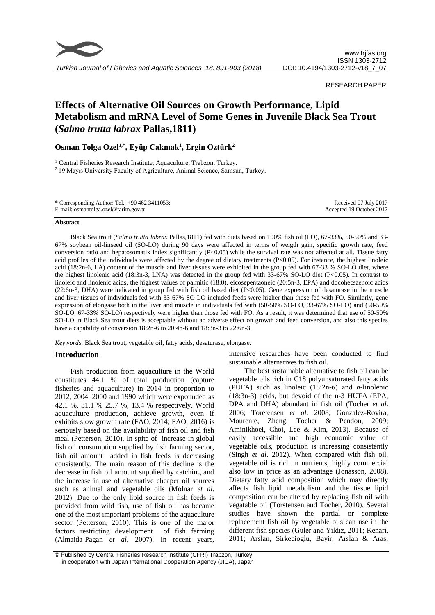

## RESEARCH PAPER

# **Effects of Alternative Oil Sources on Growth Performance, Lipid Metabolism and mRNA Level of Some Genes in Juvenile Black Sea Trout (***Salmo trutta labrax* **Pallas,1811)**

**Osman Tolga Ozel1,\*, Eyüp Cakmak<sup>1</sup> , Ergin Oztürk<sup>2</sup>**

<sup>1</sup> Central Fisheries Research Institute, Aquaculture, Trabzon, Turkey. <sup>2</sup> 19 Mayıs University Faculty of Agriculture, Animal Science, Samsun, Turkey.

| * Corresponding Author: Tel.: $+90\,462\,3411053$ ; | Received 07 July 2017    |
|-----------------------------------------------------|--------------------------|
| E-mail: osmantolga.ozel@tarim.gov.tr                | Accepted 19 October 2017 |

#### **Abstract**

Black Sea trout (*Salmo trutta labrax* Pallas,1811) fed with diets based on 100% fish oil (FO), 67-33%, 50-50% and 33- 67% soybean oil-linseed oil (SO-LO) during 90 days were affected in terms of weigth gain, specific growth rate, feed conversion ratio and hepatosomatix index significantly  $(P<0.05)$  while the survival rate was not affected at all. Tissue fatty acid profiles of the individuals were affected by the degree of dietary treatments (P<0.05). For instance, the highest linoleic acid (18:2n-6, LA) content of the muscle and liver tissues were exhibited in the group fed with 67-33 % SO-LO diet, where the highest linolenic acid (18:3n-3, LNA) was detected in the group fed with 33-67% SO-LO diet (P<0.05). In contrast to linoleic and linolenic acids, the highest values of palmitic (18:0), eicosepentaoneic (20:5n-3, EPA) and docohecsaenoic acids  $(22:6n-3, DHA)$  were indicated in group fed with fish oil based diet  $(P<0.05)$ . Gene expression of desaturase in the muscle and liver tissues of individuals fed with 33-67% SO-LO included feeds were higher than those fed with FO. Similarly, gene expression of elongase both in the liver and muscle in individuals fed with (50-50% SO-LO, 33-67% SO-LO) and (50-50% SO-LO, 67-33% SO-LO) respectively were higher than those fed with FO. As a result, it was determined that use of 50-50% SO-LO in Black Sea trout diets is acceptable without an adverse effect on growth and feed conversion, and also this species have a capability of conversion 18:2n-6 to 20:4n-6 and 18:3n-3 to 22:6n-3.

*Keywords*: Black Sea trout, vegetable oil, fatty acids, desaturase, elongase.

## **Introduction**

Fish production from aquaculture in the World constitutes 44.1 % of total production (capture fisheries and aquaculture) in 2014 in proportion to 2012, 2004, 2000 and 1990 which were expounded as 42.1 %, 31.1 % 25.7 %, 13.4 % respectively. World aquaculture production, achieve growth, even if exhibits slow growth rate (FAO, 2014; FAO, 2016) is seriously based on the availability of fish oil and fish meal (Petterson, 2010). In spite of increase in global fish oil consumption supplied by fish farming sector, fish oil amount added in fish feeds is decreasing consistently. The main reason of this decline is the decrease in fish oil amount supplied by catching and the increase in use of alternative cheaper oil sources such as animal and vegetable oils (Molnar *et al*. 2012). Due to the only lipid source in fish feeds is provided from wild fish, use of fish oil has became one of the most important problems of the aquaculture sector (Petterson, 2010). This is one of the major factors restricting development of fish farming (Almaida-Pagan *et al*. 2007). In recent years, intensive researches have been conducted to find sustainable alternatives to fish oil.

The best sustainable alternative to fish oil can be vegetable oils rich in C18 polyunsaturated fatty acids (PUFA) such as linoleic  $(18:2n-6)$  and  $\alpha$ -linolenic (18:3n-3) acids, but devoid of the n-3 HUFA (EPA, DPA and DHA) abundant in fish oil (Tocher *et al*. 2006; Toretensen *et al*. 2008; Gonzalez-Rovira, Mourente, Zheng, Tocher & Pendon, 2009; Aminikhoei, Choi, Lee & Kim, 2013). Because of easily accessible and high economic value of vegetable oils, production is increasing consistently (Singh *et al*. 2012). When compared with fish oil, vegetable oil is rich in nutrients, highly commercial also low in price as an advantage (Jonasson, 2008). Dietary fatty acid composition which may directly affects fish lipid metabolism and the tissue lipid composition can be altered by replacing fish oil with vegatable oil (Torstensen and Tocher, 2010). Several studies have shown the partial or complete replacement fish oil by vegetable oils can use in the different fish species (Guler and Yıldız, 2011; Kenari, 2011; Arslan, Sirkecioglu, Bayir, Arslan & Aras,

<sup>©</sup> Published by Central Fisheries Research Institute (CFRI) Trabzon, Turkey in cooperation with Japan International Cooperation Agency (JICA), Japan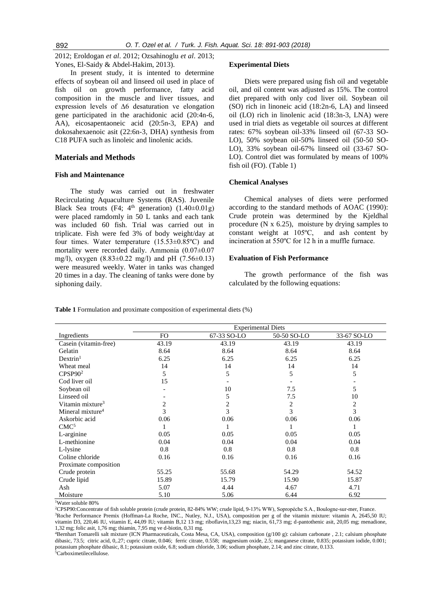2012; Eroldogan *et al*. 2012; Ozsahinoglu *et al*. 2013; Yones, El-Saidy & Abdel-Hakim, 2013).

In present study, it is intented to determine effects of soybean oil and linseed oil used in place of fish oil on growth performance, fatty acid composition in the muscle and liver tissues, and expression levels of ∆6 desaturation ve elongation gene participated in the arachidonic acid (20:4n-6, AA), eicosapentaoneic acid (20:5n-3, EPA) and dokosahexaenoic asit (22:6n-3, DHA) synthesis from C18 PUFA such as linoleic and linolenic acids.

## **Materials and Methods**

## **Fish and Maintenance**

The study was carried out in freshwater Recirculating Aquaculture Systems (RAS). Juvenile Black Sea trouts (F4;  $4<sup>th</sup>$  generation) (1.40±0.01g) were placed ramdomly in 50 L tanks and each tank was included 60 fish. Trial was carried out in triplicate. Fish were fed 3% of body weight/day at four times. Water temperature (15.53±0.85ºC) and mortality were recorded daily. Ammonia (0.07±0.07 mg/l), oxygen (8.83±0.22 mg/l) and pH (7.56±0.13) were measured weekly. Water in tanks was changed 20 times in a day. The cleaning of tanks were done by siphoning daily.

#### **Experimental Diets**

Diets were prepared using fish oil and vegetable oil, and oil content was adjusted as 15%. The control diet prepared with only cod liver oil. Soybean oil (SO) rich in linoneic acid (18:2n-6, LA) and linseed oil (LO) rich in linolenic acid (18:3n-3, LNA) were used in trial diets as vegetable oil sources at different rates: 67% soybean oil-33% linseed oil (67-33 SO-LO), 50% soybean oil-50% linseed oil (50-50 SO-LO), 33% soybean oil-67% linseed oil (33-67 SO-LO). Control diet was formulated by means of 100% fish oil (FO). (Table 1)

## **Chemical Analyses**

Chemical analyses of diets were performed according to the standard methods of AOAC (1990): Crude protein was determined by the Kjeldhal procedure (N x 6.25), moisture by drying samples to constant weight at 105ºC, and ash content by incineration at 550ºC for 12 h in a muffle furnace.

#### **Evaluation of Fish Performance**

The growth performance of the fish was calculated by the following equations:

**Table 1** Formulation and proximate composition of experimental diets (%)

|                              |       |             | <b>Experimental Diets</b> |                |
|------------------------------|-------|-------------|---------------------------|----------------|
| Ingredients                  | FO.   | 67-33 SO-LO | 50-50 SO-LO               | 33-67 SO-LO    |
| Casein (vitamin-free)        | 43.19 | 43.19       | 43.19                     | 43.19          |
| Gelatin                      | 8.64  | 8.64        | 8.64                      | 8.64           |
| Dextrin <sup>1</sup>         | 6.25  | 6.25        | 6.25                      | 6.25           |
| Wheat meal                   | 14    | 14          | 14                        | 14             |
| CPSP90 <sup>2</sup>          | 5     | 5           | 5                         | 5              |
| Cod liver oil                | 15    |             |                           |                |
| Soybean oil                  |       | 10          | 7.5                       | 5              |
| Linseed oil                  |       | 5           | 7.5                       | 10             |
| Vitamin mixture <sup>3</sup> | 2     | 2           | 2                         | $\overline{2}$ |
| Mineral mixture <sup>4</sup> | 3     | 3           | 3                         | 3              |
| Askorbic acid                | 0.06  | 0.06        | 0.06                      | 0.06           |
| CMC <sup>5</sup>             |       |             |                           |                |
| L-arginine                   | 0.05  | 0.05        | 0.05                      | 0.05           |
| L-methionine                 | 0.04  | 0.04        | 0.04                      | 0.04           |
| L-lysine                     | 0.8   | 0.8         | 0.8                       | 0.8            |
| Coline chloride              | 0.16  | 0.16        | 0.16                      | 0.16           |
| Proximate composition        |       |             |                           |                |
| Crude protein                | 55.25 | 55.68       | 54.29                     | 54.52          |
| Crude lipid                  | 15.89 | 15.79       | 15.90                     | 15.87          |
| Ash                          | 5.07  | 4.44        | 4.67                      | 4.71           |
| Moisture                     | 5.10  | 5.06        | 6.44                      | 6.92           |

<sup>1</sup>Water soluble 80%

<sup>2</sup>CPSP90:Concentrate of fish soluble protein (crude protein, 82-84% WW; crude lipid, 9-13% WW), Sopropéche S.A., Boulogne-sur-mer, France. <sup>3</sup>Roche Performance Premix (Hoffman-La Roche, INC., Nutley, N.J., USA), composition per g of the vitamin mixture: vitamin A, 2645,50 IU; vitamin D3, 220,46 IU, vitamin E, 44,09 IU; vitamin B,12 13 mg; riboflavin,13,23 mg; niacin, 61,73 mg; d-pantothenic asit, 20,05 mg; menadione,

1,32 mg; folic asit, 1,76 mg; thiamin, 7,95 mg ve d-biotin, 0,31 mg.

<sup>4</sup>Bernhart Tomarelli salt mixture (ICN Pharmaceuticals, Costa Mesa, CA, USA), composition (g/100 g): calsium carbonate , 2.1; calsium phosphate dibasic, 73.5; citric acid, 0,.27; cupric citrate, 0.046; ferric citrate, 0.558; magnesium oxide, 2.5; manganese citrate, 0.835; potassium iodide, 0.001; potassium phosphate dibasic, 8.1; potassium oxide, 6.8; sodium chloride, 3.06; sodium phosphate, 2.14; and zinc citrate, 0.133.

5Carboximetilecellulose.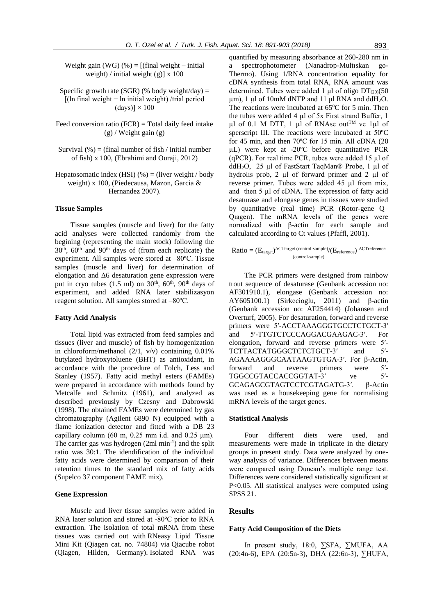Weight gain (WG)  $%$  = [(final weight – initial weight) / initial weight  $(g)$ ] x 100

- Specific growth rate (SGR) (% body weight/day) = [(ln final weight − ln initial weight) /trial period  $(days)$ ]  $\times$  100
- Feed conversion ratio  $(FCR)$  = Total daily feed intake  $(g)$  / Weight gain  $(g)$
- Survival  $\left(\frac{9}{6}\right)$  = (final number of fish / initial number of fish) x 100, (Ebrahimi and Ouraji, 2012)
- Hepatosomatic index (HSI)  $(\% )$  = (liver weight / body weight) x 100, (Piedecausa, Mazon, Garcia & Hernandez 2007).

#### **Tissue Samples**

Tissue samples (muscle and liver) for the fatty acid analyses were collected randomly from the begining (representing the main stock) following the  $30<sup>th</sup>$ ,  $60<sup>th</sup>$  and  $90<sup>th</sup>$  days of (from each replicate) the experiment. All samples were stored at –80ºC. Tissue samples (muscle and liver) for determination of elongation and Δ6 desaturation gene expression were put in cryo tubes (1.5 ml) on  $30<sup>th</sup>$ ,  $60<sup>th</sup>$ ,  $90<sup>th</sup>$  days of experiment, and added RNA later stabilizasyon reagent solution. All samples stored at –80ºC.

#### **Fatty Acid Analysis**

Total lipid was extracted from feed samples and tissues (liver and muscle) of fish by homogenization in chloroform/methanol (2/1, v/v) containing 0.01% butylated hydroxytoluene (BHT) as antioxidant, in accordance with the procedure of Folch, Less and Stanley (1957). Fatty acid methyl esters (FAMEs) were prepared in accordance with methods found by Metcalfe and Schmitz (1961), and analyzed as described previously by Czesny and Dabrowski (1998). The obtained FAMEs were determined by gas chromatography (Agilent 6890 N) equipped with a flame ionization detector and fitted with a DB 23 capillary column (60 m,  $0.25$  mm i.d. and  $0.25$  µm). The carrier gas was hydrogen  $(2ml min<sup>-1</sup>)$  and the split ratio was 30:1. The idendification of the individual fatty acids were determined by comparison of their retention times to the standard mix of fatty acids (Supelco 37 component FAME mix).

### **Gene Expression**

Muscle and liver tissue samples were added in RNA later solution and stored at -80ºC prior to RNA extraction. The isolation of total mRNA from these tissues was carried out with RNeasy Lipid Tissue Mini Kit (Qiagen cat. no. 74804) via Qiacube robot (Qiagen, Hilden, Germany). Isolated RNA was quantified by measuring absorbance at 260-280 nm in a spectrophotometer (Nanadrop-Multıskan go-Thermo). Using 1/RNA concentration equality for cDNA synthesis from total RNA, RNA amount was determined. Tubes were added 1 μl of oligo  $DT<sub>(20)</sub>(50)$ µm), 1 µl of 10mM dNTP and 11 μl RNA and ddH2O. The reactions were incubated at  $65^{\circ}$ C for 5 min. Then the tubes were added 4 µl of 5x First strand Buffer, 1  $\mu$ l of 0.1 M DTT, 1  $\mu$ l of RNAse out<sup>TM</sup> ve 1 $\mu$ l of sperscript III. The reactions were incubated at 50ºC for 45 min, and then 70ºC for 15 min. All cDNA (20 µL) were kept at -20ºC before quantitative PCR (qPCR). For real time PCR, tubes were added 15 µl of ddH2O, 25 µl of FastStart TaqMan® Probe, 1 µl of hydrolis prob, 2 µl of forward primer and 2 µl of reverse primer. Tubes were added 45 µl from mix, and then 5 µl of cDNA. The expression of fatty acid desaturase and elongase genes in tissues were studied by quantitative (real time) PCR (Rotor-gene Q– Qıagen). The mRNA levels of the genes were normalized with β-actin for each sample and calculated according to Ct values (Pfaffl, 2001).

$$
Ratio = (E_{target})^{\Delta C \text{Target (control-sample)}}/(E_{reference})^{\Delta C \text{Treference}}
$$

The PCR primers were designed from rainbow trout sequence of desaturase (Genbank accession no: AF301910.1), elongase (Genbank accession no: AY605100.1) (Sirkecioglu, 2011) and β-actin (Genbank accession no: AF254414) (Johansen and Overturf, 2005). For desaturation, forward and reverse primers were 5'-ACCTAAAGGGTGCCTCTGCT-3' and 5′-TTGTCTCCCAGGACGAAGAC-3′. For elongation, forward and reverse primers were 5′- TCTTACTATGGGCTCTCTGCT-3' and 5'-AGAAAAGGGCAATAAGTGTGA-3′. For β-Actin, forward and reverse primers were 5′- TGGCCGTACCACCGGTAT-3' ve 5'-GCAGAGCGTAGTCCTCGTAGATG-3′. β-Actin was used as a housekeeping gene for normalising mRNA levels of the target genes.

#### **Statistical Analysis**

Four different diets were used, and measurements were made in triplicate in the dietary groups in present study. Data were analyzed by oneway analysis of variance. Differences between means were compared using Duncan's multiple range test. Differences were considered statistically significant at P<0.05. All statistical analyses were computed using SPSS 21.

#### **Results**

# **Fatty Acid Composition of the Diets**

In present study, 18:0, ∑SFA, ∑MUFA, AA (20:4n-6), EPA (20:5n-3), DHA (22:6n-3), ∑HUFA,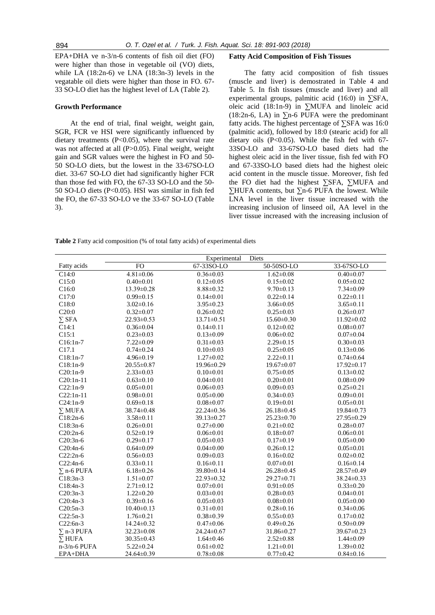EPA+DHA ve n-3/n-6 contents of fish oil diet (FO) were higher than those in vegetable oil (VO) diets, while LA (18:2n-6) ve LNA (18:3n-3) levels in the vegatable oil diets were higher than those in FO. 67- 33 SO-LO diet has the highest level of LA (Table 2).

## **Growth Performance**

At the end of trial, final weight, weight gain, SGR, FCR ve HSI were significantly influenced by dietary treatments (P<0.05), where the survival rate was not affected at all (P>0.05). Final weight, weight gain and SGR values were the highest in FO and 50- 50 SO-LO diets, but the lowest in the 33-67SO-LO diet. 33-67 SO-LO diet had significantly higher FCR than those fed with FO, the 67-33 SO-LO and the 50- 50 SO-LO diets (P<0.05). HSI was similar in fish fed the FO, the 67-33 SO-LO ve the 33-67 SO-LO (Table 3).

#### **Fatty Acid Composition of Fish Tissues**

The fatty acid composition of fish tissues (muscle and liver) is demostrated in Table 4 and Table 5. In fish tissues (muscle and liver) and all experimental groups, palmitic acid (16:0) in  $\Sigma$ SFA, oleic acid (18:1n-9) in ∑MUFA and linoleic acid (18:2n-6, LA) in  $\Sigma$ n-6 PUFA were the predominant fatty acids. The highest percentage of ∑SFA was 16:0 (palmitic acid), followed by 18:0 (stearic acid) for all dietary oils  $(P<0.05)$ . While the fish fed with 67-33SO-LO and 33-67SO-LO based diets had the highest oleic acid in the liver tissue, fish fed with FO and 67-33SO-LO based diets had the highest oleic acid content in the muscle tissue. Moreover, fish fed the FO diet had the highest ∑SFA, ∑MUFA and ∑HUFA contents, but ∑n-6 PUFA the lowest. While LNA level in the liver tissue increased with the increasing inclusion of linseed oil, AA level in the liver tissue increased with the increasing inclusion of

**Table 2** Fatty acid composition (% of total fatty acids) of experimental diets

|                   |                  | Experimental     | Diets            |                  |
|-------------------|------------------|------------------|------------------|------------------|
| Fatty acids       | <b>FO</b>        | 67-33SO-LO       | 50-50SO-LO       | 33-67SO-LO       |
| C14:0             | $4.81 \pm 0.06$  | $0.36 \pm 0.03$  | $1.62 \pm 0.08$  | $0.40 \pm 0.07$  |
| C15:0             | $0.40 \pm 0.01$  | $0.12 \pm 0.05$  | $0.15 \pm 0.02$  | $0.05 \pm 0.02$  |
| C16:0             | 13.39±0.28       | $8.88 \pm 0.32$  | $9.70 \pm 0.13$  | $7.34 \pm 0.09$  |
| C17:0             | $0.99 \pm 0.15$  | $0.14 \pm 0.01$  | $0.22 \pm 0.14$  | $0.22 \pm 0.11$  |
| C18:0             | $3.02 \pm 0.16$  | $3.95 \pm 0.23$  | $3.66 \pm 0.05$  | $3.65 \pm 0.11$  |
| C20:0             | $0.32 \pm 0.07$  | $0.26 \pm 0.02$  | $0.25 \pm 0.03$  | $0.26 \pm 0.07$  |
| $\Sigma$ SFA      | 22.93±0.53       | $13.71 \pm 0.51$ | $15.60 \pm 0.30$ | $11.92 \pm 0.02$ |
| C14:1             | $0.36 \pm 0.04$  | $0.14 \pm 0.11$  | $0.12 \pm 0.02$  | $0.08 \pm 0.07$  |
| C15:1             | $0.23 \pm 0.03$  | $0.13 \pm 0.09$  | $0.06 \pm 0.02$  | $0.07 \pm 0.04$  |
| $C16:1n-7$        | $7.22 \pm 0.09$  | $0.31 \pm 0.03$  | $2.29 \pm 0.15$  | $0.30 \pm 0.03$  |
| C17.1             | $0.74 \pm 0.24$  | $0.10 \pm 0.03$  | $0.25 \pm 0.05$  | $0.13 \pm 0.06$  |
| $C18:1n-7$        | $4.96 \pm 0.19$  | $1.27 \pm 0.02$  | $2.22 \pm 0.11$  | $0.74 \pm 0.64$  |
| $C18:1n-9$        | 20.55±0.87       | 19.96±0.29       | $19.67 \pm 0.07$ | $17.92 \pm 0.17$ |
| $C20:1n-9$        | $2.33 \pm 0.03$  | $0.10 \pm 0.01$  | $0.75 \pm 0.05$  | $0.13 \pm 0.02$  |
| $C20:1n-11$       | $0.63 \pm 0.10$  | $0.04 \pm 0.01$  | $0.20 \pm 0.01$  | $0.08 \pm 0.09$  |
| $C22:1n-9$        | $0.05 \pm 0.01$  | $0.06 \pm 0.03$  | $0.09 \pm 0.03$  | $0.25 \pm 0.21$  |
| $C22:1n-11$       | $0.98 \pm 0.01$  | $0.05 \pm 0.00$  | $0.34 \pm 0.03$  | $0.09 \pm 0.01$  |
| $C24:1n-9$        | $0.69 \pm 0.18$  | $0.08 \pm 0.07$  | $0.19 \pm 0.01$  | $0.05 \pm 0.01$  |
| $\Sigma$ MUFA     | 38.74±0.48       | $22.24 \pm 0.36$ | $26.18 \pm 0.45$ | 19.84±0.73       |
| $C18:2n-6$        | $3.58 \pm 0.11$  | 39.13±0.27       | 25.23±0.70       | 27.95±0.29       |
| $C18:3n-6$        | $0.26 \pm 0.01$  | $0.27 \pm 0.00$  | $0.21 \pm 0.02$  | $0.28 + 0.07$    |
| $C20:2n-6$        | $0.52 \pm 0.19$  | $0.06 \pm 0.01$  | $0.18 \pm 0.07$  | $0.06 \pm 0.01$  |
| $C20:3n-6$        | $0.29 \pm 0.17$  | $0.05 \pm 0.03$  | $0.17 \pm 0.19$  | $0.05 \pm 0.00$  |
| C20:4n-6          | $0.64 \pm 0.09$  | $0.04 \pm 0.00$  | $0.26 \pm 0.12$  | $0.05 \pm 0.01$  |
| $C22:2n-6$        | $0.56 \pm 0.03$  | $0.09 \pm 0.03$  | $0.16 \pm 0.02$  | $0.02{\pm}0.02$  |
| $C22:4n-6$        | $0.33 \pm 0.11$  | $0.16 \pm 0.11$  | $0.07 \pm 0.01$  | $0.16 \pm 0.14$  |
| $\Sigma$ n-6 PUFA | $6.18 \pm 0.26$  | 39.80±0.14       | 26.28±0.45       | 28.57±0.49       |
| $C18:3n-3$        | $1.51 \pm 0.07$  | 22.93±0.32       | 29.27±0.71       | 38.24±0.33       |
| $C18:4n-3$        | $2.71 \pm 0.12$  | $0.07 \pm 0.01$  | $0.91 \pm 0.05$  | $0.33 \pm 0.20$  |
| $C20:3n-3$        | $1.22 \pm 0.20$  | $0.03 \pm 0.01$  | $0.28 \pm 0.03$  | $0.04 \pm 0.01$  |
| $C20:4n-3$        | $0.39 \pm 0.16$  | $0.05 \pm 0.03$  | $0.08 \pm 0.01$  | $0.05 \pm 0.00$  |
| $C20:5n-3$        | $10.40 \pm 0.13$ | $0.31 \pm 0.01$  | $0.28 \pm 0.16$  | $0.34 \pm 0.06$  |
| $C22:5n-3$        | $1.76 \pm 0.21$  | $0.38 \pm 0.39$  | $0.55 \pm 0.03$  | $0.17 \pm 0.02$  |
| $C22:6n-3$        | $14.24 \pm 0.32$ | $0.47 \pm 0.06$  | $0.49 \pm 0.26$  | $0.50 \pm 0.09$  |
| $\Sigma$ n-3 PUFA | 32.23±0.08       | $24.24 \pm 0.67$ | 31.86±0.27       | 39.67±0.23       |
| $\Sigma$ HUFA     | $30.35 \pm 0.43$ | $1.64 \pm 0.46$  | $2.52 \pm 0.88$  | $1.44 \pm 0.09$  |
| $n-3/n-6$ PUFA    | $5.22 \pm 0.24$  | $0.61 \pm 0.02$  | $1.21 \pm 0.01$  | $1.39 \pm 0.02$  |
| EPA+DHA           | 24.64±0.39       | $0.78 \pm 0.08$  | $0.77 \pm 0.42$  | $0.84 \pm 0.16$  |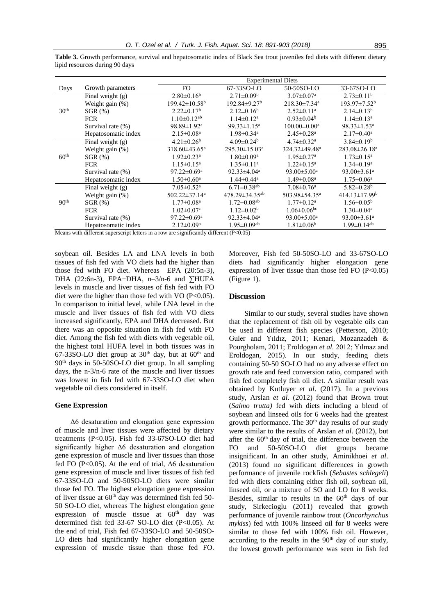|                  |                     |                                 | <b>Experimental Diets</b>      |                                |                               |
|------------------|---------------------|---------------------------------|--------------------------------|--------------------------------|-------------------------------|
| Days             | Growth parameters   | FO.                             | 67-33SO-LO                     | 50-50SO-LO                     | 33-67SO-LO                    |
|                  | Final weight $(g)$  | $2.80\pm0.16^b$                 | $2.71 \pm 0.09^b$              | $3.07 \pm 0.07$ <sup>a</sup>   | $2.73\pm0.11^{\rm b}$         |
|                  | Weight gain $(\%)$  | $199.42 \pm 10.58^{\mathrm{b}}$ | $192.84 \pm 9.27$ <sup>b</sup> | $218.30 \pm 7.34$ <sup>a</sup> | $193.97 \pm 7.52^{\rm b}$     |
| 30 <sup>th</sup> | $SGR$ $(\%)$        | $2.22 \pm 0.17^b$               | $2.12 \pm 0.16^b$              | $2.52 \pm 0.11$ <sup>a</sup>   | $2.14 \pm 0.13^b$             |
|                  | <b>FCR</b>          | $1.10 \pm 0.12$ <sup>ab</sup>   | $1.14 \pm 0.12^a$              | $0.93 \pm 0.04^b$              | $1.14 \pm 0.13$ <sup>a</sup>  |
|                  | Survival rate (%)   | 98.89±1.92 <sup>a</sup>         | 99.33 $\pm$ 1.15 <sup>a</sup>  | $100.00 \pm 0.00^a$            | $98.33 \pm 1.53$ <sup>a</sup> |
|                  | Hepatosomatic index | $2.15 \pm 0.08^a$               | $1.98 \pm 0.34$ <sup>a</sup>   | $2.45 \pm 0.28$ <sup>a</sup>   | $2.17 \pm 0.40^a$             |
|                  | Final weight $(g)$  | $4.21 \pm 0.26^b$               | $4.09 \pm 0.24^b$              | $4.74 \pm 0.32$ <sup>a</sup>   | $3.84 \pm 0.19^b$             |
|                  | Weight gain (%)     | $318.60\pm43.65^{\mathrm{a}}$   | 295.30±15.03 <sup>a</sup>      | 324.32±49.48 <sup>a</sup>      | $283.08 \pm 26.18^a$          |
| 60 <sup>th</sup> | $SGR$ $(\%)$        | $1.92 \pm 0.23$ <sup>a</sup>    | $1.80 \pm 0.09$ <sup>a</sup>   | $1.95 \pm 0.27$ <sup>a</sup>   | $1.73 \pm 0.15^{\text{a}}$    |
|                  | <b>FCR</b>          | $1.15 \pm 0.15^a$               | $1.35 \pm 0.11$ <sup>a</sup>   | $1.22 \pm 0.15^a$              | $1.34 \pm 0.19^a$             |
|                  | Survival rate (%)   | $97.22 \pm 0.69^{\mathrm{a}}$   | $92.33 \pm 4.04$ <sup>a</sup>  | 93.00 $\pm$ 5.00 <sup>a</sup>  | 93.00 $\pm$ 3.61 <sup>a</sup> |
|                  | Hepatosomatic index | $1.50 \pm 0.60^{\mathrm{a}}$    | $1.44 \pm 0.44^a$              | $1.49 \pm 0.08$ <sup>a</sup>   | $1.75 \pm 0.06^{\mathrm{a}}$  |
|                  | Final weight $(g)$  | $7.05 \pm 0.52$ <sup>a</sup>    | $6.71 \pm 0.38$ <sup>ab</sup>  | $7.08 \pm 0.76$ <sup>a</sup>   | $5.82 \pm 0.28$ <sup>b</sup>  |
|                  | Weight gain (%)     | $502.22 \pm 37.14$ <sup>a</sup> | $478.29 \pm 34.35^{ab}$        | 503.98±54.35 <sup>a</sup>      | $414.13 \pm 17.99^b$          |
| 90 <sup>th</sup> | $SGR$ $(\%)$        | $1.77 \pm 0.08^{\text{a}}$      | $1.72 \pm 0.08$ <sup>ab</sup>  | $1.77 \pm 0.12^a$              | $1.56 \pm 0.05^{\rm b}$       |
|                  | <b>FCR</b>          | $1.02 \pm 0.07$ <sup>c</sup>    | $1.12 \pm 0.02^b$              | $1.06 \pm 0.06$ <sup>bc</sup>  | $1.30 \pm 0.04$ <sup>a</sup>  |

Survival rate (%) 97.22 $\pm 0.69$ <sup>a</sup> 92.33 $\pm 4.04$ <sup>a</sup> 93.00 $\pm 5.00$ <sup>a</sup> 93.00 $\pm 3.61$ <sup>a</sup> Hepatosomatic index  $2.12 \pm 0.09^a$   $1.95 \pm 0.09^{ab}$   $1.81 \pm 0.06^b$   $1.99 \pm 0.14^{ab}$ 

Table 3. Growth performance, survival and hepatosomatic index of Black Sea trout juveniles fed diets with different dietary lipid resources during 90 days

Means with different superscript letters in a row are significantly different (P<0.05)

soybean oil. Besides LA and LNA levels in both tissues of fish fed with VO diets had the higher than those fed with FO diet. Whereas EPA (20:5n-3), DHA (22:6n-3), EPA+DHA, n–3/n-6 and ∑HUFA levels in muscle and liver tissues of fish fed with FO diet were the higher than those fed with  $VO (P<0.05)$ . In comparison to initial level, while LNA level in the muscle and liver tissues of fish fed with VO diets increased significantly, EPA and DHA decreased. But there was an opposite situation in fish fed with FO diet. Among the fish fed with diets with vegetable oil, the highest total HUFA level in both tissues was in 67-33SO-LO diet group at  $30<sup>th</sup>$  day, but at  $60<sup>th</sup>$  and 90th days in 50-50SO-LO diet group. In all sampling days, the n-3/n-6 rate of the muscle and liver tissues was lowest in fish fed with 67-33SO-LO diet when vegetable oil diets considered in itself.

#### **Gene Expression**

Δ6 desaturation and elongation gene expression of muscle and liver tissues were affected by dietary treatments (P<0.05). Fish fed 33-67SO-LO diet had significantly higher Δ6 desaturation and elongation gene expression of muscle and liver tissues than those fed FO (P<0.05). At the end of trial,  $\Delta 6$  desaturation gene expression of muscle and liver tissues of fish fed 67-33SO-LO and 50-50SO-LO diets were similar those fed FO. The highest elongation gene expression of liver tissue at  $60<sup>th</sup>$  day was determined fish fed 50-50 SO-LO diet, whereas The highest elongation gene expression of muscle tissue at  $60<sup>th</sup>$  day was determined fish fed 33-67 SO-LO diet (P<0.05). At the end of trial, Fish fed 67-33SO-LO and 50-50SO-LO diets had significantly higher elongation gene expression of muscle tissue than those fed FO. Moreover, Fish fed 50-50SO-LO and 33-67SO-LO diets had significantly higher elongation gene expression of liver tissue than those fed FO  $(P<0.05)$ (Figure 1).

#### **Discussion**

Similar to our study, several studies have shown that the replacement of fish oil by vegetable oils can be used in different fish species (Petterson, 2010; Guler and Yıldız, 2011; Kenari, Mozanzadeh & Pourgholam, 2011; Eroldogan *et al.* 2012; Yılmaz and Eroldogan, 2015). In our study, feeding diets containing 50-50 SO-LO had no any adverse effect on growth rate and feed conversion ratio, compared with fish fed completely fish oil diet. A similar result was obtained by Kutluyer *et al*. (2017). In a previous study, Arslan *et al*. (2012) found that Brown trout (*Salmo trutta)* fed with diets including a blend of soybean and linseed oils for 6 weeks had the greatest growth performance. The 30<sup>th</sup> day results of our study were similar to the results of Arslan *et al*. (2012), but after the  $60<sup>th</sup>$  day of trial, the difference between the FO and 50-50SO-LO diet groups became insignificant. In an other study, Aminikhoei *et al*. (2013) found no significant differences in growth performance of juvenile rockfish (*Sebastes schlegeli*) fed with diets containing either fish oil, soybean oil, linseed oil, or a mixture of SO and LO for 8 weeks. Besides, similar to results in the  $60<sup>th</sup>$  days of our study, Sirkecioglu (2011) revealed that growth performance of juvenile rainbow trout (*Oncorhynchus mykiss*) fed with 100% linseed oil for 8 weeks were similar to those fed with 100% fish oil. However, according to the results in the 90<sup>th</sup> day of our study, the lowest growth performance was seen in fish fed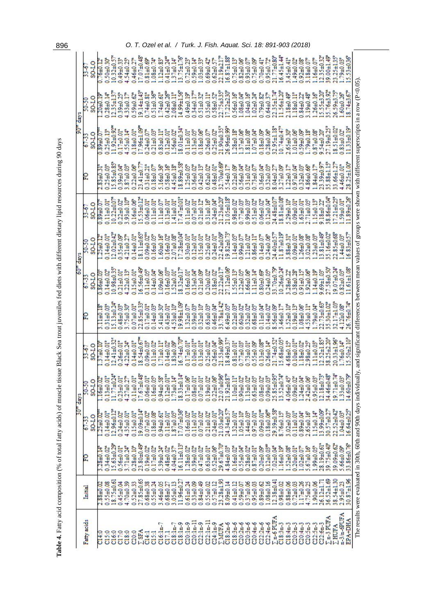| י<br>י                                                     |  |
|------------------------------------------------------------|--|
|                                                            |  |
|                                                            |  |
|                                                            |  |
|                                                            |  |
|                                                            |  |
|                                                            |  |
|                                                            |  |
|                                                            |  |
|                                                            |  |
|                                                            |  |
|                                                            |  |
|                                                            |  |
|                                                            |  |
|                                                            |  |
|                                                            |  |
|                                                            |  |
| l                                                          |  |
|                                                            |  |
| ֧֧֢ׅ֧֚֚֚֚֚֚֚֚֚֚֚֚֚֚֚֚֚֝֓ <u>֚֓</u>                         |  |
| $\frac{1}{2}$                                              |  |
|                                                            |  |
|                                                            |  |
|                                                            |  |
|                                                            |  |
|                                                            |  |
|                                                            |  |
|                                                            |  |
|                                                            |  |
| ֧֧֖֧֧֧֧֧֧֧֧֛֧֧֛֪֧֚֚֚֚֚֚֚֚֚֚֚֚֚֚֚֞֝֝֝֝֝֬֝֬֝֬֝֝֬֝֬֝֬֜֓֝֬֜֝֬֝ |  |
|                                                            |  |
|                                                            |  |
|                                                            |  |
|                                                            |  |
|                                                            |  |
| ;                                                          |  |
|                                                            |  |
| ;                                                          |  |
|                                                            |  |
|                                                            |  |
|                                                            |  |
|                                                            |  |
|                                                            |  |
|                                                            |  |
|                                                            |  |
|                                                            |  |
|                                                            |  |
|                                                            |  |
|                                                            |  |
|                                                            |  |
|                                                            |  |
| I                                                          |  |
|                                                            |  |
|                                                            |  |
|                                                            |  |
|                                                            |  |
|                                                            |  |
|                                                            |  |
|                                                            |  |
|                                                            |  |
|                                                            |  |
|                                                            |  |
| I<br>ׇ֚֚֕                                                  |  |
|                                                            |  |
|                                                            |  |
|                                                            |  |
| i                                                          |  |
|                                                            |  |
|                                                            |  |
|                                                            |  |
|                                                            |  |
|                                                            |  |
|                                                            |  |
|                                                            |  |
|                                                            |  |
|                                                            |  |
|                                                            |  |
|                                                            |  |
|                                                            |  |
|                                                            |  |
|                                                            |  |
|                                                            |  |
| <b>.</b><br>.                                              |  |
|                                                            |  |
| į                                                          |  |
|                                                            |  |
|                                                            |  |
| $\ddot{\cdot}$                                             |  |
|                                                            |  |
|                                                            |  |
| ;<br>;<br>$\frac{1}{6}$                                    |  |
|                                                            |  |
|                                                            |  |
|                                                            |  |
|                                                            |  |
|                                                            |  |
|                                                            |  |
|                                                            |  |
| ł                                                          |  |
| I                                                          |  |
|                                                            |  |
|                                                            |  |
|                                                            |  |
|                                                            |  |
|                                                            |  |
|                                                            |  |
|                                                            |  |
|                                                            |  |
|                                                            |  |
| j                                                          |  |
| י<br>ו                                                     |  |
|                                                            |  |
|                                                            |  |
|                                                            |  |
|                                                            |  |
|                                                            |  |
| l<br>$\overline{\phantom{a}}$<br>֚֚֡֡֡֡֡֡                  |  |

|                                                                                                                                                                                         | 2 | 30 <sup>"</sup> days        |                                          |                           | $60th$ days<br>67-33           |                                | $33 - 67$                        |                           | 90 <sup>m</sup> days<br>$67-33$              |                              |                               |
|-----------------------------------------------------------------------------------------------------------------------------------------------------------------------------------------|---|-----------------------------|------------------------------------------|---------------------------|--------------------------------|--------------------------------|----------------------------------|---------------------------|----------------------------------------------|------------------------------|-------------------------------|
| SQ-1-0<br>67-33<br>Initial                                                                                                                                                              |   | SO <sub>-LO</sub><br>50-50  | SO <sub>-LO</sub><br>$33 - 67$           |                           | SQ-LO                          | SQ-LO<br>50-50                 | SO <sub>1</sub> -08              |                           | SO <sub>1</sub> -08                          | SO <sub>1</sub> -08<br>50-50 | SQ-1-08                       |
| $125 + 0.02$<br>$3.28 + 0.14$<br>$2.88 + 0.02$                                                                                                                                          |   | $16 + 0.02$                 | $1.9 + 0.10$                             | <b>SLOHILLS</b>           | $0.86 + 0.03$                  | $25 + 0.12$                    | 0.89±0.0                         | $2.83 + 0.31$             | $0.89 + 0.01$                                | $120 + 0.19$                 | $0.76 + 0.12$                 |
| $12.96 + 0.12$ <sup>*</sup><br>$0.14 + 0.01$ <sup>*</sup><br>15.63±0.29<br>$0.34 + 0.02$<br>18.75±0.61<br>0.55±0.08                                                                     |   | $0.13 + 0.01$<br>11.77±0.24 | 12.41±0.32<br>$0.14 + 0.01$ <sup>*</sup> | 5.13±0.24<br>0.31±0.03*   | $0.98 + 0.35$<br>$0.14 + 0.02$ | $2.02 + 0.42$<br>$0.14 + 0.01$ | $0.22 + 0.07$<br>$0.11 \pm 0.01$ | 0.25±0.03*<br>15.85±0.85* | $11.92 + 0.92$ <sup>*</sup><br>$0.25 + 0.13$ | 12.35±137<br>$0.28 + 0.14$   | $0.32 + 0.57$<br>0.50±0.30    |
| $0.24 + 0.02$<br>$0.56 + 0.01$ <sup>*</sup><br>$0.45 + 0.04$                                                                                                                            |   | $0.23 + 0.01$               | $0.26 + 0.01$ <sup>*</sup>               | $0.48 + 0.03$             | $0.21 + 0.01$                  | 0.35±0.09                      | $0.22 + 0.02$                    | 0.39±0.04*                | $0.17 + 0.01$                                | 1.39±0.25                    | 1.49±0.33*                    |
| 4.35±0.01*<br>$3.71 + 0.24$ <sup>*</sup><br>$4.70 + 0.39$                                                                                                                               |   | $4.27 + 0.27$               | $4.22 + 0.24$                            | 3.75±0.30                 | 4.22±0.13*                     | $4.21 + 0.27$                  | 3.93±0.10 <sup>*</sup>           | $3.87 + 0.03$             | $4.55 + 0.14$                                | 1.33±0.17                    | 1.54±0.25                     |
| $0.15 + 0.01$ <sup>*</sup><br>$0.28 + 0.10^{\circ}$<br>0.52±0.33                                                                                                                        |   | $0.11 + 0.01$               | $0.14 + 0.01$ <sup>*</sup>               | $-0.01 + 0.01$            | 15±0.01*                       | $0.14 + 0.01$ <sup>*</sup>     | 0.16±0.06                        | $0.22 \pm 0.06$           | 0.18±0.01*<br>17.96±1.09*                    | 39±0.62                      | $0.46 \pm 0.27$<br>17.07±0.48 |
| 19.09±0.14<br>23.80±0.49<br>27.85±0.65                                                                                                                                                  |   | 17.67±0.48                  | 18.54±0.67                               | 22.85+0.33                | 6.56±0.49                      | 8.11±0.65                      | 15.53±0.12                       | 23.41±0.77                |                                              | 19.14±1.43                   |                               |
| $0.07 + 0.02$<br>$0.19 + 0.02$<br>$0.68 + 0.38$                                                                                                                                         |   | $0.06 + 0.01$               | $0.09 + 0.03$                            | 1710.01                   | 0.111000                       | $0.09 + 0.02$                  | $0.06 + 0.01$                    | 1,31±0.21*                | $0.24 + 0.07$                                | 13.0440.81                   | $0.81 \pm 0.69$               |
| $0.18 + 0.08$<br>$0.17 + 0.02$<br>0.55±0.24                                                                                                                                             |   | $0.16 + 0.05$               | $0.11 \pm 0.02$                          | 0.14±0.03                 | $0.14 + 0.04$                  | $0.16 + 0.05$                  | $0.111 + 0.01$                   | $0.18 + 0.07$             | $0.21 \pm 0.03$                              | $0.51 \pm 0.36$ <sup>*</sup> | $-0.0480$ .                   |
| $0.94 + 0.61$ <sup>*</sup><br>5.39±0.24<br>3.46±0.05                                                                                                                                    |   | 0.94±0.58                   | 1.71±0.11°                               | A1±0.30°                  | 0.04000                        | $1.60 + 0.16$                  | $111 + 0.07$                     | 5.16±0.36°                | $0.83\pm0.11$ <sup>*</sup>                   | $14 + 0.61$ <sup>*</sup>     | $.12 + 0.83$                  |
| $0.11 \pm 0.01$<br>$0.48 + 0.02$<br>$0.68 + 0.27$                                                                                                                                       |   | $0.12 + 0.01$ <sup>*</sup>  | $0.14 + 0.02$                            | $0.43 + 0.01$             | $0.16 \pm 0.03$                | $0.16 + 0.02$                  | 0.13±0.01*                       | 0.58±0.16°                | $0.12 + 0.01$ <sup>*</sup>                   | $0.42 \pm 0.26$ <sup>*</sup> | $41\pm0.24$ <sup>#</sup>      |
| $1.87 + 0.05$ <sup>*</sup><br>$4.04 + 0.37$<br>3.05±0.13                                                                                                                                |   | $1.73 + 0.14$ <sup>*</sup>  | $1.83 + 0.09$                            |                           | 52±0.01*                       | $-0.0450$ .08                  | $41 + 0.01$                      | 45±0.18                   |                                              |                              |                               |
| $17.07 + 0.36$<br>16.11±0.13°<br>11.96±0.27                                                                                                                                             |   | 18.33±0.14                  | 6.74±0.70                                | 4.53±0.10*<br>19.98±1.09* | 8.32±0.17                      | $7.28 + 0.04$                  | 17.47±0.01°                      | 8.89±0.58                 | 1.56±0.07<br>18.01±0.34                      | 2.08±0.11°<br>14.99±1.56°    | 1.37±0.14°<br>13.75±1.76°     |
| $0.16 + 0.02$<br>$1.28 + 0.02$<br>$0.61 + 0.24$                                                                                                                                         |   | $0.17 + 0.06$               | $0.17\pm0.01$ <sup>*</sup>               | 32±0.07                   | 0.16±0.01                      | $0.30 + 0.01$                  | 0.1110.02                        | $1.25 + 0.05$             | $0.11 + 0.01$                                | 0.49±0.19°                   | $0.72 + 0.23$                 |
| $0.11\pm0.01$ <sup>*</sup><br>0.39±0.02<br>0.33±0.09                                                                                                                                    |   | $0.08 + 0.01$               | $0.10 + 0.01$                            | 39±0.03                   | $0.13 + 0.04$                  | $0.12\pm0.01$ <sup>*</sup>     | $0.07 + 0.01$                    | $0.36 + 0.02$             | 0.13±0.05                                    | $0.34 \pm 0.17$              | $-40.14$                      |
| $0.07 + 0.02$<br>$0.47 + 0.02$<br>0.84±0.49                                                                                                                                             |   | $0.07 + 0.01$               | $0.13 + 0.01$ <sup>*</sup>               | 1.32±0.10°                | $0.21 + 0.09$                  | 10.0151.01                     | $0.21\pm0.12$                    | $0.42\pm0.13$             | $0.18 + 0.06$                                | 0.51±0.32°                   | $.03 + 0.33$                  |
| $0.21 + 0.02$<br>$0.63 + 0.01$ <sup>*</sup><br>0.55±0.02                                                                                                                                |   | $0.19 + 0.02$               | $0.25 + 0.02$                            | $0.63 + 0.03$             | $0.20 + 0.02$                  | $0.25 + 0.02$                  | $0.31 + 0.16$                    | $0.62 + 0.02$             | $0.26 + 0.07$                                | 1.35±0.11*                   | $0.69 \pm 0.42$               |
| $0.24 + 0.01$ <sup>*</sup><br>$0.52 + 0.06$<br>$0.57 + 0.12$                                                                                                                            |   | $0.22 + 0.06$               | $0.26 + 0.04$                            | $0.46 + 0.04$             | $0.18 + 0.02$                  | $0.24 \pm 0.01$ <sup>*</sup>   | $0.24 + 0.04$                    | 48±0.01*                  | $0.25 + 0.02$                                |                              | $0.62 + 0.57$                 |
| 21.03±0.20<br>29.67±0.70<br>23.28±1.93                                                                                                                                                  |   |                             | $21.53 + 0.99$                           | $3.78 + 1.42$             | $2.22 + 0.17$                  | 22.42±0.09                     | 1.23±0.20                        | 82.70±0.69                | 21.90±0.35                                   | 0.58±0.52*<br>22.75±3.55*    | 22.19±2.17                    |
| 22.07±0.96<br>21.92±0.87<br>24.34±0.5<br>$4.84 + 0.03$ <sup>e</sup><br>8.09±0.14                                                                                                        |   |                             | 8.49±0.37                                | 49±0.05°                  | 7.12±0.06                      | $9.82 + 0.73$                  | 1.05±0.18                        | S4±0.17*                  | $6.96 + 0.99$                                | $17.22 + 2.30$               | $6.87 \pm 1.88$               |
| $1.10 + 0.11$<br>$1.32 + 0.01$ <sup>*</sup><br>$0.16 + 0.02$<br>$0.41 + 0.12$                                                                                                           |   |                             | $0.81 + 0.01$                            | $0.22 \pm 0.03$           | 55±0.13°                       | $-14+0.05$                     | 0.98±0.02*                       | $0.22 + 0.09$             | $1.28 + 0.18$                                | $0.56 + 0.16$                | $0.75 + 0.13$                 |
| $0.90 + 0.02$<br>$.05 + 0.10$<br>$0.55 + 0.04^e$<br>0.59±0.07                                                                                                                           |   |                             | $0.77 + 0.03$                            | $0.60 + 0.02$             | 22±0.05                        | $0.09 + 0.07$                  | 0.77±0.03*                       | $0.56 + 0.04$             | 37±0.06                                      | $-40.0 + 80$ .               | $0.82 \pm 0.06$               |
| $1.13 + 0.02$ <sup>*</sup><br>44±0.03*<br>$0.28 + 0.02^4$<br>$0.37 + 0.06$                                                                                                              |   |                             | $0.73 + 0.01$                            | $0.32 + 0.02$             | 66±0.06°                       | $21\pm0.02$ <sup>*</sup>       | 0.99±0.03°                       | 31±0.02°                  | 80.0 <del>F</del> 18                         | $.04 + 0.16$                 | $0.93 + 0.07$                 |
| $0.63 + 0.05$<br>$0.97 + 0.01$ <sup>=</sup><br>$0.87 + 0.01$ <sup>*</sup><br>$0.95 + 0.03$                                                                                              |   |                             | 0.55±0.09                                | $-68 + 0.05$              | $111 + 0.14$                   | $0.86 + 0.11$ <sup>*</sup>     | 0.51±0.02                        | $0.73 + 0.07$             | $-0.04100$ .                                 | $.02 + 0.24$                 | $0.75 + 0.09$                 |
| $0.09 + 0.01$ <sup>=</sup><br>$0.20 + 0.09$<br>$0.89 + 0.62$                                                                                                                            |   | $0.08 + 0.02$               | $0.13 + 0.08$ <sup>**</sup>              | $0.11 \pm 0.04$           | $0.80 + 0.69$                  | $0.14 + 0.07$                  | $0.06 + 0.02$                    | 1.36±0.04*                | 0.18±0.09                                    | $0.79 + 0.82$                | $0.70 + 0.41$ <sup>*</sup>    |
| $0.18 + 0.06$ <sup>**</sup><br>$0.12 \pm 0.03$ <sup>=</sup><br>1.08±0.16                                                                                                                |   | $0.09 + 0.03$               | $0.26 + 0.14$ <sup>*</sup>               | $0.14 + 0.02$             | 0.24±0.05                      | 0.24±0.06                      | $0.12\pm0.04$ <sup>*</sup>       | 32+0.03                   | $0.28 + 0.06$                                | $0.64 + 0.37$                | $0.95 + 0.72$                 |
| 29.39±0.58<br>$7.02 + 0.04$ <sup>e</sup><br>12.38±0.41                                                                                                                                  |   | 25.85±0.95*<br>13.52±0.74*  | 21.74±0.52                               | 56:10.09                  | 3.70±0.79                      | 4.40+057                       | $4.48 + 0.07$                    | $04 + 0.27$               | 81.135±1.18                                  | $2.35 + 1.74$                | 21.77±0.80                    |
| 8.76±0.15<br>$1.16 + 0.19^4$<br>$0.98 + 0.02$                                                                                                                                           |   |                             | 5.68±0.05                                | 46±0.17                   | $0.26 + 0.24$                  | 1.87±0.19                      | 8.81±0.08                        | 27:10.09                  | $0.74 + 0.47$                                | 11.56±1.20                   | 6.45±1.44                     |
| 3.02±0.03*<br>1.52±0.08<br>$0.88 + 0.06$                                                                                                                                                |   | $4.06 + 0.45$               | 4.68±0.15°                               | 52±0.10                   | $28 + 0.22$                    | S8±0.31 <sup>*</sup>           | 1.29±0.10                        | 22±0.17                   | 1.65±0.30                                    | 2.18±0.49°                   | 1,45±0.41°                    |
| $0.11 \pm 0.01$ <sup>*</sup><br>$0.20 + 0.01$ <sup>*</sup><br>$0.72 + 0.03$                                                                                                             |   | $0.09 + 0.02$               | $0.10 + 0.01$ <sup>be</sup>              | 19 <sub>10</sub> .13°     | 1.38±0.28                      | $.09 + 0.01$ <sup>*</sup>      | $-0.0160$ .                      | 97±0.04°                  | $0.01 + 0.06$                                | $118 + 0.11$                 | -49±0.02°                     |
| $0.89 + 0.04$<br>$1.02 + 0.07$ <sup>*</sup><br>1.17±0.26                                                                                                                                |   | 1.24±0.04*                  | $.18 + 0.02$                             | 0.0440.06                 | $0.91 + 0.15$                  | $.26 + 0.08^{\circ}$           | $.63 + 0.01$ <sup>*</sup>        | $0.32 + 0.05$             | 0.59±0.09                                    | $0.84 + 0.22$                | $0.92 + 0.08$                 |
| 2.65±0.16<br>5.67±0.16°<br>4.75±0.25                                                                                                                                                    |   | 2.42±0.06                   | 2.98±0.25                                | 53±0.11°                  | $1.92 + 0.06$                  | $.02 + 0.08$                   | $.71 + 0.05$                     | 1.86±0.66                 | SI 07647                                     | \$707611                     | 0.0451.81                     |
| $1.15 + 0.14$ <sup>*</sup><br>99±0.05°<br>$1.90 + 0.06$                                                                                                                                 |   | $0.95 + 0.03$               | $-111 + 0.03$                            | :79±0.04°                 | $.14 + 0.19$ <sup>*</sup>      | $23 + 0.03$                    | 1540.13                          | S4±0.17                   | $0.87 + 0.08$                                | $1.26 + 0.16$                | $-16 + 0.07$ <sup>*</sup>     |
| I3.99±0.09°<br>28.19±0.61*<br>26.12±1.71                                                                                                                                                |   | 12.18±0.73                  |                                          | 2.73±0.63                 | .69±1.03°                      | $3.81 + 0.49$                  | $0.18 + 0.22$                    | 3.39±0.97                 | 9.54±0.20                                    | 5.55±3.20°                   | $1.35 + 0.32$                 |
| 30.57±0.27<br>39.75±0.40°<br>36.52±1.69                                                                                                                                                 |   | 34.46±0.48                  | $12.52\pm1.85^{\circ}$<br>38.25±2.20*    | 5.30±1.02                 | 7.58±0.50                      | 5.16±0.02                      | 8.86±0.04                        | 5.88±1.15                 | 7.19±0.25                                    | 15.76±3.92                   | 89.00±1.49                    |
| 22.52±0.42*<br>39.09±0.62°<br>38.54±1.30                                                                                                                                                |   | 19.71±0.74                  | $20.33 + 1.96$                           | $2.17 + 1.03$             | $9.07 + 0.24$                  | $2.85 + 0.68$                  | $7.21 + 0.25$                    | $3.66 + 1.27$             | 8.51±0.02                                    | 8.59±3.75                    | 13.25±1.35                    |
| $1.04 + 0.03$ <sup>e</sup><br>5.66±0.09<br>2.95±0.23                                                                                                                                    |   | 1.33±0.03                   | $.76 + 0.14$ <sup>*</sup>                | $4.12 \pm 0.08$           | $.82 + 0.03$ <sup>e</sup>      | 44±0.03°                       | 59±0.01 <sup>*</sup>             | 46±0.01*                  | $0.83 + 0.02$                                | $-60 + 0.26$                 | $.79 + 0.03$                  |
| 16.64±0.25°<br>33.86±0.76<br>30.87±1.96                                                                                                                                                 |   | 14.60±0.79                  | 15.50±2.10 <sup>*</sup>                  | 16.76±0.74                | $1.61 \pm 1.08$                | $6.83 + 0.57$                  | $1.89 + 0.26$                    | 18.25±1.00                | $1.33 + 0.19$                                | $18.74 + 3.67$               | 15.53±0.36                    |
| The results were evaluated in 30th, 60th and 90th days individually, and significant differences between mean values of groups were shown with different superscripts in a row (P<0.05) |   |                             |                                          |                           |                                |                                |                                  |                           |                                              |                              |                               |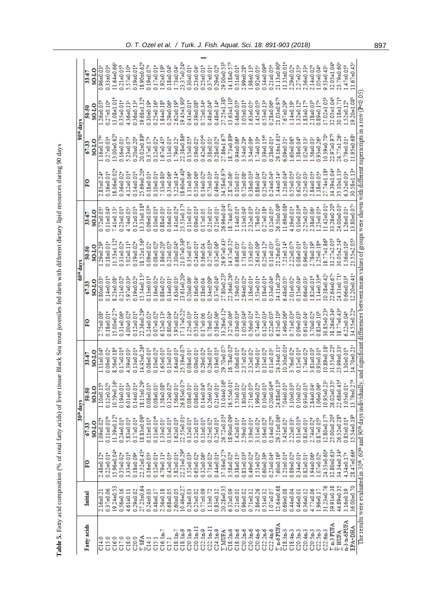| ì                                                                              |
|--------------------------------------------------------------------------------|
| i                                                                              |
|                                                                                |
| Ì                                                                              |
| i                                                                              |
|                                                                                |
|                                                                                |
|                                                                                |
|                                                                                |
|                                                                                |
| i                                                                              |
| ı                                                                              |
| I                                                                              |
| ì                                                                              |
|                                                                                |
|                                                                                |
|                                                                                |
|                                                                                |
| ֦֧֦֧֦֧֦֧֦֧֦֧֚֚֬                                                                |
|                                                                                |
|                                                                                |
|                                                                                |
|                                                                                |
| $5 - 6$                                                                        |
| l                                                                              |
|                                                                                |
|                                                                                |
| -<br>-<br>-<br>-<br>-<br>-<br>-<br>-<br>-<br><br>-<br><br><br><br><br><br><br> |
|                                                                                |
|                                                                                |
|                                                                                |
| I                                                                              |
|                                                                                |
| ļ<br>I                                                                         |
|                                                                                |
| Ì<br>֠                                                                         |
|                                                                                |
| $\frac{1}{2}$                                                                  |
|                                                                                |
| ֖֖֚֚֚֚֚֚֚֚֚֚֚֚֬֝֝֝֝֝֓֡֝֬֝֬֝֬֝֬֝֬֝֓֬֝֓֬֝֓֬                                      |
|                                                                                |
| $\frac{1}{2}$                                                                  |
| i<br>I                                                                         |
|                                                                                |
| $\frac{1}{2}$                                                                  |
| $\ddot{\cdot}$                                                                 |
| ֚֚֚֬                                                                           |
| $%$ oi                                                                         |
|                                                                                |
|                                                                                |
|                                                                                |
|                                                                                |
|                                                                                |
| I                                                                              |
|                                                                                |
|                                                                                |
|                                                                                |
| I                                                                              |
| j                                                                              |
|                                                                                |
| l                                                                              |
| l                                                                              |

|                    |                 |                                                                                                          |                              | 30 <sup>th</sup> days        |                              |                                                                                                                      | $60th$ days                  |                              |                            |                              | 90 <sup>th</sup> days         |                              |                               |
|--------------------|-----------------|----------------------------------------------------------------------------------------------------------|------------------------------|------------------------------|------------------------------|----------------------------------------------------------------------------------------------------------------------|------------------------------|------------------------------|----------------------------|------------------------------|-------------------------------|------------------------------|-------------------------------|
|                    |                 |                                                                                                          |                              |                              |                              |                                                                                                                      |                              |                              |                            |                              |                               |                              |                               |
| Fatty acids        | <b>Initial</b>  | PO                                                                                                       | <b>SOLLO</b><br>67.33        | <b>SOLO</b><br>50-50         | <b>SOLLO</b><br>33.67        | ΡO                                                                                                                   | <b>SOLLO</b><br>6733         | <b>SOLLO</b><br>50.50        | <b>SOLLO</b><br>33.67      | βĀ                           | <b>SOLLO</b><br>67.33         | <b>SL108</b><br>50.50        | <b>SL10</b><br>33-67          |
| C14:0              | $2.16 + 0.21$   | $2.48 + 0.12$ <sup>*</sup>                                                                               | $1.09 + 0.02$                | $1.10 + 0.15^b$              | $1.11 + 0.04$                | $2.75 + 0.08$                                                                                                        | $0.80 + 0.03$                | $29 + 0.29$                  | $0.72 + 0.05$              | $2.85 + 0.24$                | 1.16±0.17                     | $1.26 + 0.05$                | $0.96 + 0.03$                 |
| C15:0              | $0.37 + 0.06$   | $0.22\pm0.01$ <sup>*</sup>                                                                               | $0.11 + 0.01$ ec             | $0.12\pm0.02$ <sup>b</sup>   | $0.09 + 0.02$                | $0.18 + 0.01$ <sup>*</sup>                                                                                           | $0.14\pm0.01$ <sup>t</sup>   | $0.18 + 0.01$                | $0.11 + 0.04$              | $0.16 + 0.01$ <sup>b</sup>   | $0.27 + 0.03$                 | $27+0.10$                    | $0.33 + 0.03$                 |
| C16:0              | 19.24±0.53      | 15.96±0.04*                                                                                              | $11.39 + 0.12b$              | 10.59±0.16                   | $8.56 + 0.18$                | 15.00±0.27                                                                                                           | $8.23 \pm 0.08$              | $1.53 \pm 1.12$              | $7.41\pm0.13$              | 8.06±0.02                    | $13.00 + 0.62$                | $3.08 + 1.01$                | $1.64 + 0.66$                 |
| C17:0              | $0.56 + 0.16$   | $0.35 + 0.02$                                                                                            | $0.24 \pm 0.01^b$            | $0.19 + 0.01$ <sup>e</sup>   | $0.17\pm0.01d$               | $31 + 0.06$ <sup>2</sup>                                                                                             | $0.21 + 0.02$                | $0.31 + 0.02$                | $0.23\pm0.01$ <sup>b</sup> | $0.36 + 0.02$                | $0.16 + 0.01$ <sup>e</sup>    | $35\pm0.01$ <sup>*</sup>     | $0.21 + 0.05^b$               |
| C18:0              | $4.61 + 0.11$   | 3.33±0.01 <sup>d</sup>                                                                                   | $5.83 + 0.01$ <sup>b</sup>   | $6.01 \pm 0.03$              | 4.39±0.03°                   | $-0.00 + 0.02$                                                                                                       | $97 + 0.03$                  | $5.02\pm0.11$ <sup>b</sup>   | $1.74 \pm 0.05$            | $1.12 \pm 0.01^d$            | $5.23 \pm 0.07$               | $1.36 + 0.13$                | 5.57±0.10                     |
| C20:0              | $0.29 + 0.02$   | $0.18 + 0.09$                                                                                            | $0.17 + 0.01$ <sup>*</sup>   | $0.14 \pm 0.01$ <sup>*</sup> | $0.13 + 0.01$ <sup>*</sup>   | $0.12 + 0.01^b$                                                                                                      | $0.19 + 0.02$                | $0.19 + 0.02$                | $0.12\pm0.01$ <sup>b</sup> | $0.14 \pm 0.01^b$            | $0.20 + 0.20$ <sup>\$</sup>   | $36 + 0.13$                  | $0.19 + 0.01$ <sup>b</sup>    |
| <b>SFA</b>         | $27.23 + 0.64$  | 22.52±0.45ª                                                                                              | 18.83±0.09                   | 18.15±0.29                   | $4.45 \pm 0.26$              | $2.36 + 0.29$                                                                                                        | 5.54±0.15                    | $8.52 \pm 1.56$              | 3.33±0.18                  | $5.69 + 0.20$                | $0.02 + 0.89$                 | $9.68 \pm 1.32$              | 8.90±0.62                     |
| C14:1              | $0.24 + 0.03$   | $0.16 + 0.05$ <sup>*</sup>                                                                               | $0.11 \pm 0.01^b$            | $0.08 + 0.01$ <sup>b</sup>   | $0.08 + 0.01$ <sup>b</sup>   | $24 + 0.02$ <sup>*</sup>                                                                                             | $0.13 + 0.01$ <sup>b</sup>   | $0.09 + 0.02$                | $0.09 + 0.03$              | $0.18 + 0.01$                | $37\pm0.17$ <sup>2</sup>      | $0.30 + 0.19$                | $0.19 + 0.07$                 |
| C15:1              | 0.48±0.17       | $0.12\pm0.01$ <sup>*</sup>                                                                               | $0.11\pm0.01^{ab}$           | $0.08 + 0.01$                | $0.10 + 0.02$                | $-07 + 0.02$                                                                                                         | $0.16 + 0.02$                | $0.08 + 0.02$                | $0.10 + 0.01$ <sup>b</sup> | $0.10 + 0.01$                | $0.12 + 0.02$                 | $0.25 \pm 0.16$              | $0.17 + 0.01$                 |
| $C16:1n-7$         | 2.56±0.18       | $4.79 + 0.11$ <sup>2</sup>                                                                               | $1.33 + 0.01$ <sup>e</sup>   | 1.58±0.08                    | $65 + 0.01^b$                | $5.12\pm0.13$                                                                                                        | 0.88±0.02                    | $-86+0.20b$                  | $0.88 + 0.03$              | $13+0.80$                    | $-67 + 0.45^{\circ}$          | $-84+0.18$                   | $92+0.19b$                    |
| C17.1              | $0.68 + 0.05$   | $0.42\pm0.05$ <sup>3</sup>                                                                               | $0.15 \pm 0.01$ <sup>b</sup> | $0.12 + 0.02^b$              | $0.13 + 0.01$ <sup>b</sup>   | $$0+0.04$                                                                                                            | 0.1440.01                    | $0.23 + 0.02$                | 0.1640.01                  | $35 + 0.06$                  | $0.11 \pm 0.01$               | $0.29 + 0.06$                | 0.04                          |
| $C18:1n-7$         | $2.60 + 0.05$   | $5.82\pm0.01$ <sup>2</sup>                                                                               | $1.62 + 0.03$ <sup>b</sup>   | 1.56±0.01°                   | $.64 + 0.01$ <sup>b</sup>    | $95 + 0.02$ <sup>2</sup>                                                                                             | $63 + 0.03$                  | $30 + 0.04^b$                | $.41 + 0.02d$              | $5.22 \pm 0.14$ <sup>3</sup> | $.79 + 0.12$ <sup>e</sup>     | $.62 + 0.19^b$               | $.73 + 0.04$                  |
| $C18:1n-9$         | 10.46±0.27      | $22.21 \pm 0.29$ d                                                                                       | 22.55±0.01°                  | 26.85±0.07                   | 5.19±0.07                    | $7.17 + 0.22$                                                                                                        | $3.61 + 0.20$                | 1.07±0.36                    | 13.53±0.17                 | $3.60 + 0.40^8$              | $2.38 + 0.86$                 | $9.45 \pm 1.90^6$            | $3.37 + 0.24$                 |
| $C20:1n-9$         | $0.28 + 0.03$   | $1.52\pm0.03$ <sup>a</sup>                                                                               | $0.12\pm0.01$ <sup>b</sup>   | $0.08 + 0.01$                | $0.08 + 0.01$ <sup>e</sup>   | $25 \pm 0.03$ <sup>2</sup>                                                                                           | $20 + 0.06$                  | 35±0.07 <sup>b</sup>         | $0.11\pm0.01$              | $.11 + 0.06$ <sup>3</sup>    | $0.15 \pm 0.05$ <sup>d</sup>  | $(43+0.01b)$                 | $0.30 + 0.01$                 |
| $20:1n-11$         | $0.25 + 0.02$   | $0.65 + 0.02$                                                                                            | $0.12\pm0.01$ <sup>b</sup>   | $0.08 + 0.01$                | $0.09 + 0.01$                | 55±0.01*                                                                                                             | $.16 + 0.04$ <sup>c</sup>    | $0.24 \pm 0.01^b$            | $0.09 + 0.01d$             | $53 + 0.06$                  | $0.19 + 0.02$                 | 139±0.08                     | $0.23 + 0.04$                 |
| $C22:1n-9$         | $0.77 + 0.09$   | $0.32 + 0.06$ <sup>3</sup>                                                                               | $0.11\pm0.01$ <sup>b</sup>   | $0.14\pm0.04^{b}$            | $0.29 + 0.02$                | 17±0.06                                                                                                              | 18±0.04                      | 0.04610.04                   | 17±0.05                    | $14 + 0.02^b$                | $0.42 \pm 0.05$ <sup>ab</sup> | $0.72 \pm 0.34$ <sup>2</sup> | $0.25 + 0.01^b$               |
| $C22:1n-11$        | $1.13 + 0.72$   | $0.71 + 0.02$                                                                                            | $0.25 + 0.02^b$              | $0.26 + 0.02^b$              | $0.26 \pm 0.01^b$            | $.78 + 0.02$                                                                                                         | $34 + 0.09^b$                | $0.27 \pm 0.03$              | $0.21 \pm 0.01$            | $0.73 \pm 0.03$              | 10.04850                      | $48 + 0.04$                  | $37+0.01$                     |
| $C24:1n-9$         | $0.83 + 0.12$   | $0.44 \pm 0.01$ <sup>*</sup>                                                                             | $0.25 + 0.01^b$              | $0.21 + 0.01$ <sup>e</sup>   | $0.19 + 0.01d$               | $-90.0845$                                                                                                           | $37 + 0.04^b$                | $32 + 0.06^b$                | $0.21 + 0.01$              | $-10.019$                    | $0.28 + 0.02b$                | $-48+0.14$                   | $0.29 + 0.02$                 |
| <b>NUUFA</b>       | 20.28±0.35      | 37.16±0.27                                                                                               | 26.72±0.05 <sup>d</sup>      | 31.04±0.16                   | 9.70±0.07                    | 3.26±0.12                                                                                                            | $7.80 + 0.23$                | $6.97 + 0.43$                | $6.96 \pm 0.04$            | 4.58±0.97                    | $27.86 \pm 1.6$               | $7.25 \pm 1.38$              | 9.00±0.53                     |
| $C18:2n-6$         | $6.32 + 0.09$   | $3.58 + 0.02d$                                                                                           | 8.90±0.09                    | $6.55 + 0.01$                | $6.78 + 0.02$                | $27 + 0.06^{d}$                                                                                                      | 2.36±0.26                    | 4.37±0.32                    | 8.74±0.07                  | $-87 + 0.06$                 | $8.73 + 0.89$                 | $3.63 \pm 1.10^8$            | 4.18±0.57                     |
| $C18:3n-6$         | $0.21 + 0.01$   | 0.38±0.15                                                                                                | $1.42 \pm 0.01$ <sup>a</sup> | $1.53 \pm 0.01$ <sup>*</sup> | $06 + 0.01$ <sup>b</sup>     | $0.19 + 0.03d$                                                                                                       | $1.59 + 0.02$ <sup>*</sup>   | $0.68 + 0.03$                | $.14 + 0.01$ <sup>b</sup>  | $0.10 + 0.01$                | $0.04 + 0.06$                 | $0.46 \pm 0.05^{\circ}$      | 0.51±0.01 <sup>b</sup>        |
| $C20:2n-6$         | $0.96 + 0.02$   | $0.81 + 0.03d$                                                                                           | 10.03675                     | $.80 + 0.02$                 | $37 + 0.02^{b}$              | 0.0460.046                                                                                                           | 94±0.02*                     | $.71 + 0.07$                 | $13+0.04^b$                | $0.72 \pm 0.08$              | $34 + 0.29$                   | $-0.01$                      | 99±0.28 <sup>b</sup>          |
| $C20:3n-6$         | $0.71 + 0.12$   | $0.49 + 0.02d$                                                                                           | $3.19 + 0.01$ <sup>2</sup>   | $2.71\pm0.05^b$              | $32 + 0.02$                  | 56±0.02 <sup>d</sup>                                                                                                 | $.18 + 0.01$ <sup>*</sup>    | 53±0.05                      | $32 + 0.03b$               | $38 + 0.034$                 | $-54+0.09$                    | $.63 + 0.05$                 | $98 + 0.13b$                  |
| $C20:4n-6$         | $2.86 + 0.26$   | $1.51\pm0.02^{d}$                                                                                        | 3.11±0.02*                   | $-0.02$ <sup>6</sup>         | 59±0.01°                     | $74+0.15^{d}$                                                                                                        | 53±0.01*                     | $61 + 0.09$ <sup>b</sup>     | $.78 + 0.02$               | $-0.0483$                    | $.74 + 0.10$ <sup>2</sup>     | $45 + 0.05^b$                | $92+0.05$                     |
| $C22:2n-6$         | $0.51 + 0.32$   | $0.60 + 0.39$ <sup>2</sup>                                                                               | $0.16 + 0.02$ <sup>b</sup>   | $0.10 + 0.01$ <sup>b</sup>   | $0.11\pm0.02$ <sup>b</sup>   | $12 + 0.03$                                                                                                          | $0.18 + 0.01$                | $25 + 0.12$                  | $27 + 0.18$                | $25 + 0.02^b$                | 39±0.15 <sup>st</sup>         | $53+0.13$                    | $0.34 \pm 0.09$ <sup>ab</sup> |
| $C22:4n-6$         | $1.07 + 0.07$   | $0.23 + 0.04$                                                                                            | $0.14 + 0.02$ <sup>bc</sup>  | $0.20 + 0.04$ <sup>ab</sup>  | $0.11\pm0.03$                | $22\pm0.03^{b}$                                                                                                      | $33 + 0.04$                  | $11 + 0.03$                  | $12+0.05$                  | $.24 \pm 0.04$ <sup>3</sup>  | $0.28 + 0.01$                 | $28+0.06$ <sup>*</sup>       | $0.21 \pm 0.05$               |
| $\bar{N}$ n-6 PUFA | $12.64 + 0.68$  | $.60 + 0.16$ <sup>d</sup>                                                                                | 29.51±0.06*                  | 24.88±0.13                   | 4.34±0.11                    | $15 + 0.10^{d}$                                                                                                      | 4.11±0.29                    | $1.26 + 0.07$                | $6.50 + 0.09$              | 44±0.14°                     | $9.16 + 1.61$                 | $1.03 + 0.97$ <sup>t</sup>   | 1.13+0.90                     |
| $C18:3n-3$         | $0.69 + 0.08$   | $1.21 + 0.01d$                                                                                           | 5.45±0.02°                   | $10.04 + 0.01$               | $0.30 + 0.01$ <sup>*</sup>   | $49 + 0.066$                                                                                                         | 5.48±0.05°                   | $21 + 0.14^b$                | $1.69 + 0.08$              | $21 + 0.04^d$                | $0.09 + 0.31$ <sup>e</sup>    | $.67 + 0.29$                 | 135±0.01                      |
| $C18:4n-3$         | $0.44 \pm 0.04$ | $0.89 + 0.02$ <sup>d</sup>                                                                               | $2.22 + 0.03$                | 3.10±0.03 <sup>b</sup>       | $3.76 \pm 0.02$ <sup>*</sup> | $.71 + 0.03d$                                                                                                        | $20.01 + 0.02$               | $2.22 \pm 0.07$ <sup>b</sup> | $19 + 0.01$                | $0.55 \pm 0.05$              | $-60 + 0.06$                  | $14+0.19$                    | $2.29 + 0.02$                 |
| $C20:3n-3$         | $0.46 + 0.01$   | $0.34 \pm 0.01$ <sup>3</sup>                                                                             | $0.11\pm0.01$ <sup>bc</sup>  | $0.10 + 0.02$                | $0.12\pm0.01$ <sup>b</sup>   | $0.03^{b}$                                                                                                           | $15 + 0.04$ <sup>*</sup>     | $0.08 + 0.01$                | $10 + 0.03$ <sup>ab</sup>  | $0.62 + 0.02$                | $-38+0.04$                    | $32 + 0.12^{b}$              | $27 + 0.35$                   |
| $C20:4n-3$         | $0.36 + 0.12$   | $0.82 + 0.01$                                                                                            | $0.81 \pm 0.01$              | $0.93 + 0.01$ <sup>b</sup>   | $74 + 0.02$ <sup>*</sup>     | $-40.046$                                                                                                            | $66 + 0.03$                  | $-0.0596($                   | $25 + 0.03$                | $0.25 \pm 0.03$              | $02 + 0.13$                   | $83 + 0.17$                  | $36 + 0.33$                   |
| $C20:5n-3$         | 4.77±0.06       | 3.94±0.06 <sup>*</sup>                                                                                   | $2.74 \pm 0.02$ <sup>e</sup> | $2.84 \pm 0.04$              | $-610.03^{b}$                | $.70 + 0.02$ <sup>*</sup>                                                                                            | $82+0.01d$                   | $78 + 0.19^b$                | 38±0.06°                   | $-50.0448$                   | 56±0.03°                      | $18 + 0.03b$                 | $.14 + 0.02$ <sup>b</sup>     |
| $C22:5n-3$         | 1.96±0.17       | $1.07 + 0.02$ <sup>*</sup>                                                                               | $0.87 + 0.05^b$              | $1.06 \pm 0.06$ <sup>3</sup> | 0.93±0.01 <sup>b</sup>       | $0.83 + 0.10^6$                                                                                                      | $.14 \pm 0.33$ <sup>ab</sup> | $25 + 0.18$                  | $23 + 0.05$ <sup>a</sup>   | $-50.0581$                   | $93 + 0.26^a$                 | $0.89 \pm 0.17$              | $-0.043$                      |
| $C22:6n-3$         | $31.23 + 0.76$  | 24.53±0.60*                                                                                              | $12.80 + 0.17$ <sup>b</sup>  | $10.95 + 0.23$               | $0.89 + 0.18$                | $0.85 + 0.23$                                                                                                        | $0.38 + 0.42$                | $8.77 \pm 1.86$              | $1.42 \pm 0.01$ °          | $7.74 + 1.18$                | 0.39±0.70                     | $7.02 + 1.05$                | $.53 + 0.43$                  |
| $\S$ n-3 PUFA      | 39.91±0.38      | 32.80±0.63*                                                                                              | 25.00±0.20 <sup>d</sup>      | 26.02±0.35                   | 31.55±0.23                   | $8.26 + 0.34$                                                                                                        | $2.64 + 0.67$                | $3.27 + 2.05$                | 3.26±0.20 <sup>b</sup>     | *4.39±1.04                   | $2.97 + 0.97$                 | $2.05 \pm 1.04$ <sup>*</sup> | $2.05 \pm 1.04$               |
| У НИЕА             | 44.89±0.35      | 34.34±0.34ª                                                                                              | 26.52±0.28 <sup>b</sup>      | $22.68 + 0.45$               | 23.99±0.33°                  | 8.77±0.43                                                                                                            | 431±0.71                     | $0.05 + 2.54$                | $4.00 + 0.03$              | $5.10 + 1.33$                | 14.77±1.26                    | $0.18 + 1.71^b$              | $3.79 + 0.60$                 |
| $n-3/n-6$ PUFA     | 3.16±0.19       | $4.34 \pm 0.17$ <sup>2</sup>                                                                             | $0.85 \pm 0.01^4$            | $1.05 + 0.01$ <sup>e</sup>   | $30 + 0.01^b$                | $6.22 \pm 0.04$                                                                                                      | $0.66 \pm 0.03$ <sup>d</sup> | $-56 + 0.10^b$               | $26 + 0.01$ <sup>e</sup>   | $6.32 \pm 0.03$              | $0.79 + 0.01$ <sup>e</sup>    | $52 + 0.12^b$                | $47 + 0.05^b$                 |
| EPA+DHA            | 36.00±0.70      | 28.47±0.66ª                                                                                              | 15.54±0.19 <sup>b</sup>      | 13.79±0.27                   | $4.70 + 0.21$                | 34.55±0.22                                                                                                           | $2.20 + 0.41$                | $1.55 + 2.05$                | $3.80 + 0.07$              | 30.58±1.13                   | 1.95±0.68                     | $9.20 + 1.08^b$              | $1.67 + 0.45$                 |
|                    |                 | The results were evaluated in 30 <sup>th</sup> . 60 <sup>th</sup> and 90 <sup>th</sup> days individually |                              |                              |                              | , and significant differences between mean values of groups were shown with different superscripts in a row (P<0.05) |                              |                              |                            |                              |                               |                              |                               |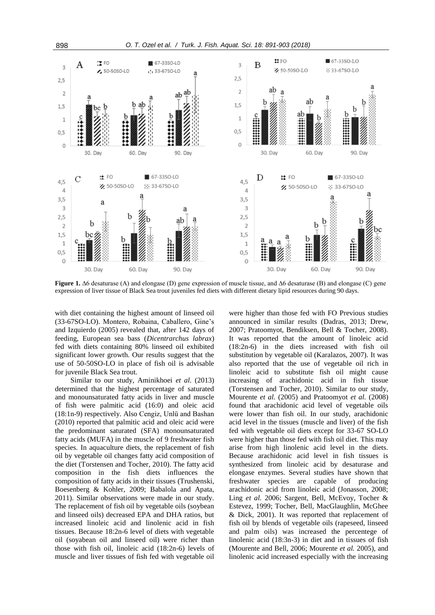

expression of liver tissue of Black Sea trout juveniles fed diets with different dietary lipid resources during 90 days.

with diet containing the highest amount of linseed oil (33-67SO-LO). Montero, Robaina, Caballero, Gine's and Izquierdo (2005) revealed that, after 142 days of feeding, European sea bass (*Dicentrarchus labrax*) fed with diets containing 80% linseed oil exhibited significant lower growth. Our results suggest that the use of 50-50SO-LO in place of fish oil is advisable for juvenile Black Sea trout.

Similar to our study, Aminikhoei *et al*. (2013) determined that the highest percentage of saturated and monounsaturated fatty acids in liver and muscle of fish were palmitic acid (16:0) and oleic acid (18:1n-9) respectively. Also Cengiz, Unlü and Bashan (2010) reported that palmitic acid and oleic acid were the predominant saturated (SFA) monounsaturated fatty acids (MUFA) in the muscle of 9 freshwater fish species. In aquaculture diets, the replacement of fish oil by vegetable oil changes fatty acid composition of the diet (Torstensen and Tocher, 2010). The fatty acid composition in the fish diets influences the composition of fatty acids in their tissues (Trushenski, Boesenberg & Kohler, 2009; Babalola and Apata, 2011). Similar observations were made in our study. The replacement of fish oil by vegetable oils (soybean and linseed oils) decreased EPA and DHA ratios, but increased linoleic acid and linolenic acid in fish tissues. Because 18:2n-6 level of diets with vegetable oil (soyabean oil and linseed oil) were richer than those with fish oil, linoleic acid (18:2n-6) levels of muscle and liver tissues of fish fed with vegetable oil

were higher than those fed with FO Previous studies announced in similar results (Dadras, 2013; Drew, 2007; Pratoomyot, Bendiksen, Bell & Tocher, 2008). It was reported that the amount of linoleic acid (18:2n-6) in the diets increased with fish oil substitution by vegetable oil (Karalazos, 2007). It was also reported that the use of vegetable oil rich in linoleic acid to substitute fish oil might cause increasing of arachidonic acid in fish tissue (Torstensen and Tocher, 2010). Similar to our study, Mourente *et al.* (2005) and Pratoomyot *et al.* (2008) found that arachidonic acid level of vegetable oils were lower than fish oil. In our study, arachidonic acid level in the tissues (muscle and liver) of the fish fed with vegetable oil diets except for 33-67 SO-LO were higher than those fed with fish oil diet. This may arise from high linolenic acid level in the diets. Because arachidonic acid level in fish tissues is synthesized from linoleic acid by desaturase and elongase enzymes. Several studies have shown that freshwater species are capable of producing arachidonic acid from linoleic acid (Jonasson, 2008; Ling *et al.* 2006; Sargent, Bell, McEvoy, Tocher & Estevez, 1999; Tocher, Bell, MacGlaughlin, McGhee & Dick, 2001). It was reported that replacement of fish oil by blends of vegetable oils (rapeseed, linseed and palm oils) was increased the percentege of linolenic acid (18:3n-3) in diet and in tissues of fish (Mourente and Bell, 2006; Mourente *et al.* 2005), and linolenic acid increased especially with the increasing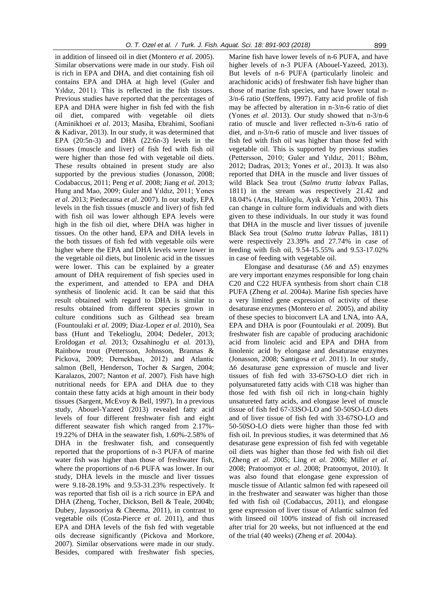in addition of linseed oil in diet (Montero *et al.* 2005). Similar observations were made in our study. Fish oil is rich in EPA and DHA, and diet containing fish oil contains EPA and DHA at high level (Guler and Yıldız, 2011). This is reflected in the fish tissues. Previous studies have reported that the percentages of EPA and DHA were higher in fish fed with the fish oil diet, compared with vegetable oil diets (Aminikhoei *et al*. 2013; Masiha, Ebrahimi, Soofiani & Kadivar, 2013). In our study, it was determined that EPA (20:5n-3) and DHA (22:6n-3) levels in the tissues (muscle and liver) of fish fed with fish oil were higher than those fed with vegetable oil diets. These results obtained in present study are also supported by the previous studies (Jonasson, 2008; Codabaccus, 2011; Peng *et al*. 2008; Jiang *et al.* 2013; Hung and Mao, 2009; Guler and Yıldız, 2011; Yones *et al.* 2013; Piedecausa *et al*. 2007). In our study, EPA levels in the fish tissues (muscle and liver) of fish fed with fish oil was lower although EPA levels were high in the fish oil diet, where DHA was higher in tissues. On the other hand, EPA and DHA levels in the both tissues of fish fed with vegetable oils were higher where the EPA and DHA levels were lower in the vegetable oil diets, but linolenic acid in the tissues were lower. This can be explained by a greater amount of DHA requirement of fish species used in the experiment, and attended to EPA and DHA synthesis of linolenic acid. It can be said that this result obtained with regard to DHA is similar to results obtained from different species grown in culture conditions such as Gilthead sea bream (Fountoulaki *et al.* 2009; Diaz-Lopez *et al.* 2010), Sea bass (Hunt and Tekelioglu, 2004; Dedeler, 2013; Eroldogan *et al.* 2013; Ozsahinoglu *et al.* 2013), Rainbow trout (Pettersson, Johnsson, Brannas & Pickova, 2009; Dernekbası, 2012) and Atlantic salmon (Bell, Henderson, Tocher & Sargen, 2004; Karalazos, 2007; Nanton *et al*. 2007). Fish have high nutritional needs for EPA and DHA due to they contain these fatty acids at high amount in their body tissues (Sargent, McEvoy & Bell, 1997). In a previous study, Abouel-Yazeed (2013) revealed fatty acid levels of four different freshwater fish and eight different seawater fish which ranged from 2.17%- 19.22% of DHA in the seawater fish, 1.60%-2.58% of DHA in the freshwater fish, and consequently reported that the proportions of n-3 PUFA of marine water fish was higher than those of freshwater fish, where the proportions of n-6 PUFA was lower. In our study, DHA levels in the muscle and liver tissues were 9.18-28.19% and 9.53-31.23% respectively. It was reported that fish oil is a rich source in EPA and DHA (Zheng, Tocher, Dickson, Bell & Teale, 2004b; Dubey, Jayasooriya & Cheema, 2011), in contrast to vegetable oils (Costa-Pierce *et al.* 2011), and thus EPA and DHA levels of the fish fed with vegetable oils decrease significantly (Pickova and Morkore, 2007). Similar observations were made in our study. Besides, compared with freshwater fish species,

Marine fish have lower levels of n-6 PUFA, and have higher levels of n-3 PUFA (Abouel-Yazeed, 2013). But levels of n-6 PUFA (particularly linoleic and arachidonic acids) of freshwater fish have higher than those of marine fish species, and have lower total n-3/n-6 ratio (Steffens, 1997). Fatty acid profile of fish may be affected by alteration in n-3/n-6 ratio of diet (Yones *et al*. 2013). Our study showed that n-3/n-6 ratio of muscle and liver reflected n-3/n-6 ratio of diet, and n-3/n-6 ratio of muscle and liver tissues of fish fed with fish oil was higher than those fed with vegetable oil. This is supported by previous studies (Pettersson, 2010; Guler and Yıldız, 2011; Böhm, 2012; Dadras, 2013; Yones *et al*., 2013). It was also reported that DHA in the muscle and liver tissues of wild Black Sea trout (*Salmo trutta labrax* Pallas, 1811) in the stream was respectively 21.42 and 18.04% (Aras, Haliloglu, Ayık & Yetim, 2003). This can change in culture form individuals and with diets given to these individuals. In our study it was found that DHA in the muscle and liver tissues of juvenile Black Sea trout (*Salmo trutta labrax* Pallas, 1811) were respectively 23.39% and 27.74% in case of feeding with fish oil, 9.54-15.55% and 9.53-17.02% in case of feeding with vegetable oil.

Elongase and desaturase ( $\Delta 6$  and  $\Delta 5$ ) enzymes are very important enzymes responsible for long chain C20 and C22 HUFA synthesis from short chain C18 PUFA (Zheng *et al.* 2004a). Marine fish species have a very limited gene expression of activity of these desaturase enzymes (Montero *et al.* 2005), and ability of these species to bioconvert LA and LNA, into AA, EPA and DHA is poor (Fountoulaki *et al.* 2009). But freshwater fish are capable of producing arachidonic acid from linoleic acid and EPA and DHA from linolenic acid by elongase and desaturase enzymes (Jonasson, 2008; Santigosa *et al*. 2011). In our study, ∆6 desaturase gene expression of muscle and liver tissues of fish fed with 33-67SO-LO diet rich in polyunsatureted fatty acids with C18 was higher than those fed with fish oil rich in long-chain highly unsatureted fatty acids, and elongase level of muscle tissue of fish fed 67-33SO-LO and 50-50SO-LO diets and of liver tissue of fish fed with 33-67SO-LO and 50-50SO-LO diets were higher than those fed with fish oil. In previous studies, it was determined that ∆6 desaturase gene expression of fish fed with vegetable oil diets was higher than those fed with fish oil diet (Zheng *et al*. 2005; Ling *et al*. 2006; Miller *et al*. 2008; Pratoomyot *et al*. 2008; Pratoomyot, 2010). It was also found that elongase gene expression of muscle tissue of Atlantic salmon fed with rapeseed oil in the freshwater and seawater was higher than those fed with fish oil (Codabaccus, 2011), and elongase gene expression of liver tissue of Atlantic salmon fed with linseed oil 100% instead of fish oil increased after trial for 20 weeks, but not influenced at the end of the trial (40 weeks) (Zheng *et al.* 2004a).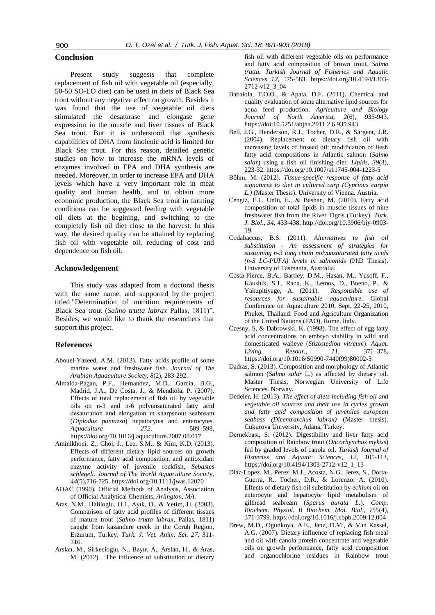## **Conclusion**

Present study suggests that complete replacement of fish oil with vegetable oil (especially, 50-50 SO-LO diet) can be used in diets of Black Sea trout without any negative effect on growth. Besides it was found that the use of vegetable oil diets stimulated the desaturase and elongase gene expression in the muscle and liver tissues of Black Sea trout. But it is understood that synthesis capabilities of DHA from linolenic acid is limited for Black Sea trout. For this reason, detailed genetic studies on how to increase the mRNA levels of enzymes involved in EPA and DHA synthesis are needed. Moreover, in order to increase EPA and DHA levels which have a very important role in meat quality and human health, and to obtain more economic production, the Black Sea trout in farming conditions can be suggested feeding with vegetable oil diets at the begining, and switching to the completely fish oil diet close to the harvest. In this way, the desired quality can be attained by replacing fish oil with vegetable oil, reducing of cost and dependence on fish oil.

# **Acknowledgement**

This study was adapted from a doctoral thesis with the same name, and supported by the project titled "Determination of nutrition requirements of Black Sea trout (*Salmo trutta labrax* Pallas, 1811)". Besides, we would like to thank the researchers that support this project.

#### **References**

- Abouel-Yazeed, A.M. (2013). Fatty acids profile of some marine water and freshwater fish. *Journal of The Arabian Aquaculture Society*, *8*(2), 283-292.
- Almaida-Pagan, P.F., Hernandez, M.D., Garcia, B.G., Madrid, J.A., De Costa, J., & Mendiola, P. (2007). Effects of total replacement of fish oil by vegetable oils on n-3 and n-6 polyunsaturated fatty acid desaturation and elongation ın sharpsnout seabream (*Diplodus puntazzo*) hepatocytes and enterocytes. *Aquaculture 272*, 589–598, https:[//doi.org/10.1016/j.aquaculture.2007.08.017](https://doi.org/10.1016/j.aquaculture.2007.08.017)
- Aminikhoei, Z., Choi, J., Lee, S.M., & Kim, K.D. (2013). Effects of different dietary lipid sources on growth performance, fatty acid composition, and antioxidant enzyme activity of juvenile rockfish, *Sebastes schlegeli. Journal of The World Aquaculture Societ*y, *44*(5),716-725. https://doi.org/10.1111/jwas.12070
- AOAC (1990). Official Methods of Analysis, Association of Official Analytical Chemists, *Arlington, MA.*
- Aras, N.M., Haliloglu, H.I., Ayık, O., & Yetim, H. (2003). Comparison of fatty acid profiles of different tissues of mature trout (*Salmo trutta labrax*, Pallas, 1811) caught from kazandere creek in the Coruh Region, Erzurum, Turkey, *Turk. J. Vet. Anim. Sci*. *27*, 311- 316.
- Arslan, M., Sirkecioglu, N., Bayır, A., Arslan, H., & Aras, M. (2012). The influence of substitution of dietary

fish oil with different vegetable oils on performance and fatty acid composition of brown trout, *Salmo trutta. Turkish Journal of Fisheries and Aquatic Sciences 12*, 575-583. https://doi.org/10.4194/1303- 2712-v12\_3\_04

- Babalola, T.O.O., & Apata, D.F. (2011). Chemical and quality evaluation of some alternative lipid sources for aqua feed production. *Agriculture and Biology Journal of North America*, *2*(6), 935-943. https://doi:10.5251/abjna.2011.2.6.935.943
- Bell, J.G., Henderson, R.J., Tocher, D.R., & Sargent, J.R. (2004). Replacement of dietary fish oil with ıncreasing levels of linseed oil: modification of flesh fatty acid compositions in Atlantic salmon (*Salmo salar*) using a fish oil finishing diet. *Lipids*, *39*(3), 223-32. https://doi.org/10.1007/s11745-004-1223-5
- Böhm, M. (2012). *Tissue-specific response of fatty acid signatures to diet in cultured carp (Cyprinus carpio L.)* (Master Thesis). University of Vienna. Austria.
- Cengiz, E.I., Unlü, E., & Bashan, M. (2010). Fatty acid composition of total lipids in muscle tissues of nine freshwater fish from the River Tigris (Turkey). *Turk. J. Biol*., *34*, 433-438. http://doi.org/10.3906/biy-0903- 19
- Codabaccus, B.S. (2011). *Alternatives to fish oil substitution - An assessment of strategies for sustaining n-3 long chain polyunsaturated fatty acids (n-3 LC-PUFA) levels in salmonids* (PhD Thesis). University of Tasmania, Australia.
- Costa-Pierce, B.A., Bartley, D.M., Hasan, M., Yusoff, F., Kaushik, S.J., Rana, K., Lemos, D., Bueno, P., & Yakupitiyage, A. (2011). *Responsible use of resources for sustainable aquaculture*. Global Conference on Aquaculture 2010, Sept. 22-25, 2010, Phuket, Thailand. Food and Agriculture Organization of the United Nations (FAO), Rome, Italy.
- Czesny, S, & Dabrowski, K. (1998). The effect of egg fatty acid concentrations on embryo viability in wild and domesticated walleye (*Stizostedion vitreum*). *Aquat. Living Resour., 11*, 371–378, https:[//doi.org/10.1016/S0990-7440\(99\)80002-3](https://doi.org/10.1016/S0990-7440(99)80002-3)
- Dadras, S. (2013). Composition and morphology of Atlantic salmon (*Salmo salar* L.) as affected by dietary oil. Master Thesis, Norwegian University of Life Sciences. Norway.
- Dedeler, H. (2013). *The effect of diets including fish oil and vegetable oil sources and their use in cycles growth and fatty acid composition of juveniles european seabass (Dicentrarchus labrax)* (Master thesis). Cukurova University, Adana, Turkey.
- Dernekbası, S. (2012). Digestibility and liver fatty acid composition of Rainbow trout (*Oncorhynchus mykiss*) fed by graded levels of canola oil. *Turkish Journal of Fisheries and Aquatic Sciences, 12*, 105-113, https://doi.org/10.4194/1303-2712-v12\_1\_13
- Diaz-Lopez, M., Perez, M.J., Acosta, N.G., Jerez, S., Dorta-Guerra, R., Tocher, D.R., & Lorenzo, A. (2010). Effects of dietary fish oil substitution by *echium* oil on enterocyte and hepatocyte lipid metabolism of gilthead seabream (*Sparus aurata L*.). *[Comp.](http://www.ncbi.nlm.nih.gov/pubmed/20064626) Biochem. Physiol. [B Biochem.](http://www.ncbi.nlm.nih.gov/pubmed/20064626) Mol. Biol*., *155*(4), 371-3799. https://doi.org/10.1016/j.cbpb.2009.12.004
- Drew, M.D., Ogunkoya, A.E., Janz, D.M., & Van Kassel, A.G. (2007). Dietary influence of replacing fish meal and oil with canola protein concentrate and vegetable oils on growth performance, fatty acid composition and organochlorine residues in Rainbow trout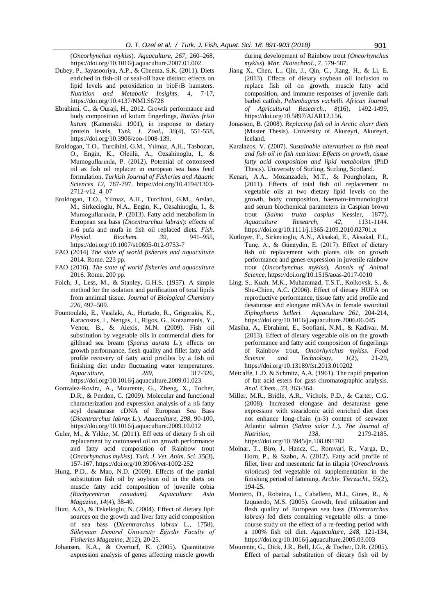(*Oncorhynchus mykiss*). *Aquaculture, 267*, 260–268, https:[//doi.org/10.1016/j.aquaculture.2007.01.002.](https://doi.org/10.1016/j.aquaculture.2007.01.002)

- Dubey, P., Jayasooriya, A.P., & Cheema, S.K. (2011). Diets enriched in fish-oil or seal-oil have distinct effects on lipid levels and peroxidation in bioF1B hamsters. *Nutrition and Metabolic Insights*, *4*, 7-17, https://doi.org/10.4137/NMI.S6728
- Ebrahimi, C., & Ouraji, H., 2012. Growth performance and body composition of kutum fingerlings, *Rutilus frisii kutum* (Kamenskii 1901), in response to dietary protein levels, *Turk. J. Zool., 36*(4), 551-558, https://doi.org/10.3906/zoo-1008-139.
- Eroldogan, T.O., Turcihini, G.M., Yılmaz, A.H., Tasbozan, O., Engin, K., Olcülü, A., Ozsahinoglu, I., & Mumogullarında, P. (2012). Potential of cottonseed oil as fish oil replacer in european sea bass feed formulation. *Turkish Journal of Fisheries and Aquatic Sciences 12*, 787-797. https://doi.org/10.4194/1303- 2712-v12\_4\_07
- Eroldogan, T.O., Yılmaz, A.H., Turcihini, G.M., Arslan, M., Sirkecioglu, N.A., Engin, K., Ozsahinoglu, I., & Mumogullarında, P. (2013). Fatty acid metabolism in European sea bass (*Dicentrarchus labrax*): effects of n-6 pufa and mufa in fish oil replaced diets. *Fish. Physiol. Biochem. 39*, 941–955, https://doi.org/10.1007/s10695-012-9753-7
- FAO (2014) *The state of world fisheries and aquaculture* 2014. Rome. 223 pp.
- FAO (2016). *The state of world fisheries and aquaculture* 2016. Rome. 200 pp.
- Folch, J., Less, M., & Stanley, G.H.S. (1957). A simple method for the isolation and purification of total lipids from annimal tissue. *Journal of Biological Chemistry 226*, 497–509.
- Fountoulaki, E., Vasilaki, A., Hurtado, R., Grigorakis, K., Karacostas, I., Nengas, I., Rigos, G., Kotzamanis, Y., Venou, B., & Alexis, M.N. (2009). Fish oil substitution by vegetable oils in commercial diets for gilthead sea bream (*Sparus aurata L.*); effects on growth performance, flesh quality and fillet fatty acid profile recovery of fatty acid profiles by a fish oil finishing diet under fluctuating water temperatures. *Aquaculture, 289*, 317-326, https:[//doi.org/10.1016/j.aquaculture.2009.01.023](https://doi.org/10.1016/j.aquaculture.2009.01.023)
- Gonzalez-Rovira, A., Mourente, G., Zheng, X., Tocher, D.R., & Pendon, C. (2009). Molecular and functional characterization and expression analysis of a n6 fatty acyl desaturase cDNA of European Sea Bass (*Dicentrarchus labrax L*.). *Aquaculture, 298*, 90-100, https:[//doi.org/10.1016/j.aquaculture.2009.10.012](https://doi.org/10.1016/j.aquaculture.2009.10.012)
- Guler, M., & Yıldız, M. (2011). Eff ects of dietary fi sh oil replacement by cottonseed oil on growth performance and fatty acid composition of Rainbow trout (*Oncorhynchus mykiss*). *Turk. J. Vet. Anim. Sci*. *35*(3), 157-167. https://doi.org/10.3906/vet-1002-252
- Hung, P.D., & Mao, N.D. (2009). Effects of the partial substitution fish oil by soybean oil in the diets on muscle fatty acid composition of juvenile cobia *(Rachycentron canadum). Aquaculture Asia Magazine*, *14*(4), 38-40.
- Hunt, A.O., & Tekelioglu, N. (2004). Effect of dietary lipit sources on the growth and liver fatty acid composition of sea bass (*Dicentrarchus labrax* L., 1758). *Süleyman Demirel University Eğirdir Faculty of Fisheries Magazine*, *2*(12), 20-25.
- Johansen, K.A., & Overturf, K. (2005). Quantitative expression analysis of genes affecting muscle growth

during development of Rainbow trout (*Oncorhynchus mykiss*). *[Mar. Biotechnol](http://link.springer.com/journal/10126)*., *7*, 579-587.

- Jiang X., Chen, L., Qin, J., Qin, C., Jiang, H., & Li, E. (2013). Effects of dietary soybean oil inclusion to replace fish oil on growth, muscle fatty acid composition, and immune responses of juvenile dark barbel catfish, *Pelteobagrus vachelli. African Journal of Agricultural Research*., *8*(16), 1492-1499, https://doi.org/10.5897/AJAR12.156.
- Jonasson, B. (2008). *Replacing fish oil in Arctic charr diets* (Master Thesis). University of Akureyri, Akureyri, Iceland.
- Karalazos, V. (2007). *Sustainable alternatives to fish meal and fish oil in fish nutrition: Effects on growth, tissue fatty acid composition and lipid metabolism* (PhD Thesis). University of Stirling, Stirling, Scotland.
- Kenari, A.A., Mozanzadeh, M.T., & Pourgholam, R. (2011). Effects of total fish oil replacement to vegetable oils at two dietary lipid levels on the growth, body composition, haemato-immunological and serum biochemical parameters in Caspian brown trout (*Salmo trutta caspius* Kessler, 1877). *Aquaculture Research*, *42*, 1131-1144. https://doi.org/10.1111/j.1365-2109.2010.02701.x
- Kutluyer, F., Sirkecioglu, A.N., Aksakal, E., Aksakal, F.I., Tunç, A., & Günaydin, E. (2017). Effect of dietary fish oil replacement with plants oils on growth performance and genes expression in juvenile rainbow trout (*Oncorhynchus mykiss*), *Annals of Animal Science*, https://doi.org/10.1515/aoas-2017-0010
- Ling, S., Kuah, M.K., Muhammad, T.S.T., Kolkovsk, S., & Shu-Chien, A.C. (2006). Effect of dietary HUFA on reproductive performance, tissue fatty acid profile and desaturase and elongase mRNAs in female swordtail *Xiphophorus helleri. Aquaculture 261*, 204-214, https:[//doi.org/10.1016/j.aquaculture.2006.06.045](https://doi.org/10.1016/j.aquaculture.2006.06.045)
- Masiha, A., Ebrahimi, E., Soofiani, N.M., & Kadivar, M. (2013). Effect of dietary vegetable oils on the growth performance and fatty acid composition of fingerlings of Rainbow trout, *Oncorhynchus mykiss*. *Food Science and Technology*, *1*(2), 21-29, https://doi.org/10.13189/fst.2013.010202
- Metcalfe, L.D. & Schmitz, A.A. (1961). The rapid prepation of fatt acid esters for gass chromatographic analysis. *Anal. Chem*., *33*, 363-364.
- Miller, M.R., Bridle, A.R., Vichols, P.D., & Carter, C.G. (2008). Increased elongase and desaturase gene expression with stearidonic acid enriched diet does not enhance long-chain (n-3) content of seawater Atlantic salmon (*Salmo salar L*.). *The Journal of Nutrition*, *138*, 2179-2185. https://doi.org/10.3945/jn.108.091702
- Molnar, T., Biro, J., Hancz, C., Romvari, R., Varga, D., Horn, P., & Szabo, A. (2012). Fatty acid profile of fillet, liver and mesenteric fat in tilapia (*Oreochromis niloticus*) fed vegetable oil supplementation in the finishing period of fattening. *Archiv. Tierzucht., 55*(2), 194-25.
- Montero, D., Robaina, L., Caballero, M.J., Gines, R., & Izquierdo, M.S. (2005). Growth, feed utilization and flesh quality of European sea bass (*Dicentrarchus labrax*) fed diets containing vegetable oils: a timecourse study on the effect of a re-feeding period with a 100% fish oil diet. *Aquaculture, 248*, 121-134, https:[//doi.org/10.1016/j.aquaculture.2005.03.003](https://doi.org/10.1016/j.aquaculture.2005.03.003)
- Mourente, G., Dick, J.R., Bell, J.G., & Tocher, D.R. (2005). Effect of partial substitution of dietary fish oil by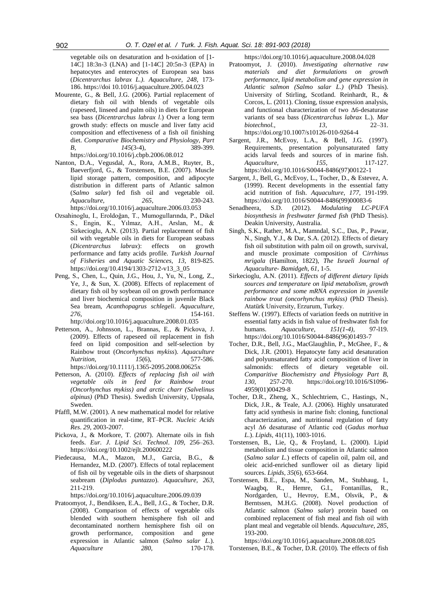vegetable oils on desaturation and h-oxidation of [1- 14C] 18:3n-3 (LNA) and [1-14C] 20:5n-3 (EPA) in hepatocytes and enterocytes of European sea bass (*Dicentrarchus labrax L.). Aquaculture, 248*, 173- 186. https://doi 10.1016/j.aquaculture.2005.04.023

- Mourente, G., & Bell, J.G. (2006). Partial replacement of dietary fish oil with blends of vegetable oils (rapeseed, linseed and palm oils) in diets for European sea bass (*Dicentrarchus labrax l*.) Over a long term growth study: effects on muscle and liver fatty acid composition and effectiveness of a fish oil finishing diet. *Comparative Biochemistry and Physiology, Part B, 145*(3-4), 389-399. https:[//doi.org/10.1016/j.cbpb.2006.08.012](https://doi.org/10.1016/j.cbpb.2006.08.012)
- Nanton, D.A., Vegusdal, A., Rora, A.M.B., Ruyter, B., Baeverfjord, G., & Torstensen, B.E. (2007). Muscle lipid storage pattern, composition, and adipocyte distribution in different parts of Atlantic salmon (*Salmo salar*) fed fish oil and vegetable oil. *Aquaculture, 265*, 230-243. https:[//doi.org/10.1016/j.aquaculture.2006.03.053](https://doi.org/10.1016/j.aquaculture.2006.03.053)
- Ozsahinoglu, I., Eroldoğan, T., Mumogullarında, P., Dikel S., Engin, K., Yılmaz, A.H., Arslan, M., & Sirkecioglu, A.N. (2013). Partial replacement of fish oil with vegetable oils in diets for European seabass (*Dicentrarchus labrax*): effects on growth performance and fatty acids profile. *Turkish Journal of Fisheries and Aquatic Sciences, 13*, 819-825. https://doi.org/10.4194/1303-2712-v13\_3\_05
- Peng, S., Chen, L., Quin, J.G., Hou, J., Yu, N., Long, Z., Ye, J., & Sun, X. (2008). Effects of replacement of dietary fish oil by soybean oil on growth performance and liver biochemical composition in juvenile Black Sea bream, *Acanthopagrus schlegeli*. *Aquaculture, 276*, 154-161.
- http:/[/doi.org/10.1016/j.aquaculture.2008.01.035](https://doi.org/10.1016/j.aquaculture.2008.01.035)
- Petterson, A., Johnsson, L., Brannas, E., & Pickova, J. (2009). Effects of rapeseed oil replacement in fish feed on lipid composition and self-selection by Rainbow trout (*Oncorhynchus mykiss*). *Aquaculture Nutrition, 15*(6), 577-586. https://doi.org/10.1111/j.1365-2095.2008.00625x
- Petterson, A. (2010). *Effects of replacing fish oil with vegetable oils in feed for Rainbow trout (Oncorhynchus mykiss) and arctic charr (Salvelinus alpinus)* (PhD Thesis). Swedish University, Uppsala, Sweden.
- Pfaffl, M.W. (2001). A new mathematical model for relative quantification in real-time, RT–PCR. *Nucleic Acids Res*. *29*, 2003-2007.
- Pickova, J., & Morkore, T. (2007). Alternate oils in fish feeds. *Eur. J. Lipid Sci. Technol*. *109*, 256–263. https://doi.org/10.1002/ejlt.200600222
- Piedecausa, M.A., Mazon, M.J., Garcia, B.G., & Hernandez, M.D. (2007). Effects of total replacement of fish oil by vegetable oils in the diets of sharpsnout seabream (*Diplodus puntazzo*). *Aquaculture, 263*, 211-219.

https:[//doi.org/10.1016/j.aquaculture.2006.09.039](https://doi.org/10.1016/j.aquaculture.2006.09.039)

Pratoomyot, J., Bendiksen, E.A., Bell, J.G., & Tocher, D.R. (2008). Comparison of effects of vegetable oils blended with southern hemisphere fish oil and decontaminated northern hemisphere fish oil on growth performance, composition and gene expression in Atlantic salmon (*Salmo salar L*.). *Aquaculture 280*, 170-178.

https:[//doi.org/10.1016/j.aquaculture.2008.04.028](https://doi.org/10.1016/j.aquaculture.2008.04.028)

- Pratoomyot, J. (2010). *Investigating alternative raw materials and diet formulations on growth performance, lipid metabolism and gene expression in Atlantic salmon (Salmo salar L.)* (PhD Thesis). University of Stirling, Scotland. Reinhardt, R., & Corcos, L. (2011). Cloning, tissue expression analysis, and functional characterization of two Δ6-desaturase variants of sea bass (*Dicentrarchus labrax* L.). *Mar biotechnol., 13*, 22–31. https://doi.org/10.1007/s10126-010-9264-4
- Sargent, J.R., McEvoy, L.A., & Bell, J.G. (1997). Requirements, presentation polyunsaturated fatty acids larval feeds and sources of in marine fish. *Aquaculture, 155*, 117-127. https:[//doi.org/10.1016/S0044-8486\(97\)00122-1](https://doi.org/10.1016/S0044-8486(97)00122-1)
- Sargent, J., Bell, G., McEvoy, L., Tocher, D., & Estevez, A. (1999). Recent developments in the essential fatty acid nutrition of fish. *Aquaculture*, *177*, 191-199. https:[//doi.org/10.1016/S0044-8486\(99\)00083-6](https://doi.org/10.1016/S0044-8486(99)00083-6)
- Senadheera, S.D. (2012). *Modulating LC-PUFA biosynthesis in freshwater farmed fish* (PhD Thesis). Deakin University, Australia.
- Singh, S.K., Rather, M.A., Mamndal, S.C., Das, P., Pawar, N., Singh, Y.J., & Dar, S.A. (2012). Effects of dietary fish oil substitution with palm oil on growth, survival, and muscle proximate composition of C*irrhinus mrigala* (Hamilton, 1822), *The Israeli Journal of Aquaculture*- *Bamidgeh*, *61*, 1-5.
- Sirkecioglu, A.N. (2011). *Effects of different dietary lipids sources and temperature on lipid metabolism, growth performance and some mRNA expression in juvenile rainbow trout (oncorhynchus mykiss)* (PhD Thesis). Atatürk University, Erzurum, Turkey.
- Steffens W. (1997). Effects of variation feeds on nutritive in essential fatty acids in fish value of freshwater fish for humans. *Aquaculture*, *151(1-4)*, 97-l19. https:[//doi.org/10.1016/S0044-8486\(96\)01493-7](https://doi.org/10.1016/S0044-8486(96)01493-7)
- Tocher, D.R., Bell, J.G., MacGlaughlin, P., McGhee, F., & Dick, J.R. (2001). Hepatocyte fatty acid desaturation and polyunsaturated fatty acid composition of liver in salmonids: effects of dietary vegetable oil. *Comparitive Biochemistry and Physiology Part B*, *130*, 257-270. https:[//doi.org/10.1016/S1096-](https://doi.org/10.1016/S1096-4959(01)00429-8) [4959\(01\)00429-8](https://doi.org/10.1016/S1096-4959(01)00429-8)
- Tocher, D.R., Zheng, X., Schlechtriem, C., Hastings, N., Dick, J.R., & Teale, A.J. (2006). Highly unsaturated fatty acid synthesis in marine fish: cloning, functional characterization, and nutritional regulation of fatty acyl Δ6 desaturase of Atlantic cod (*Gadus morhua L*.). *Lipids*, 41(11), 1003-1016.
- Torstensen, B., Lie, Q., & Froyland, L. (2000). Lipid metabolism and tissue composition in Atlantic salmon (*Salmo salar L.*) effects of capelin oil, palm oil, and oleic acid-enriched sunflower oil as dietary lipid sources. *Lipids, 35*(6), 653-664.
- Torstensen, B.E., Espa, M., Sanden, M., Stubhaug, I., Waagbq, R., Hemre, G.I., Fontanillas, R., Nordgarden, U., Hevroy, E.M., Olsvik, P., & Berntssen, M.H.G. (2008). Novel production of Atlantic salmon (*Salmo salar*) protein based on combined replacement of fish meal and fish oil with plant meal and vegetable oil blends. *Aquaculture*, *285*, 193-200.

https:[//doi.org/10.1016/j.aquaculture.2008.08.025](https://doi.org/10.1016/j.aquaculture.2008.08.025)

Torstensen, B.E., & Tocher, D.R. (2010). The effects of fish